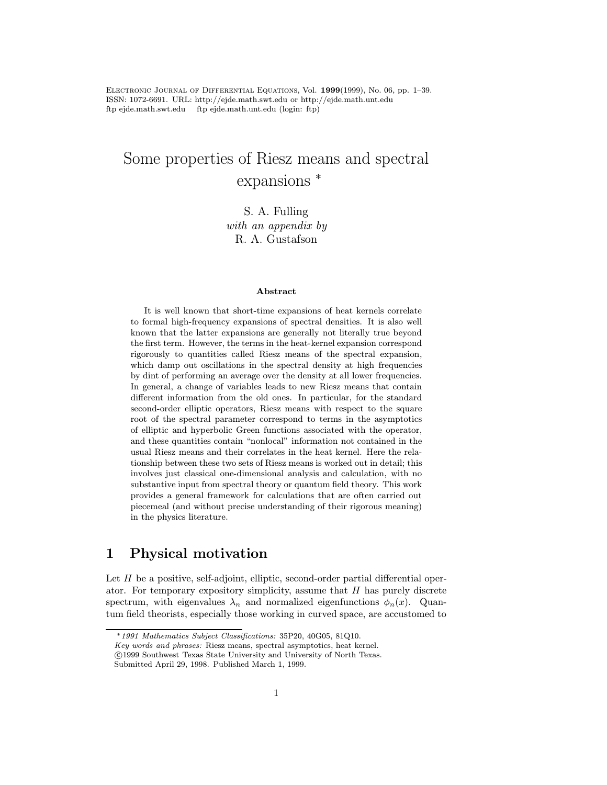Electronic Journal of Differential Equations, Vol. <sup>1999</sup>(1999), No. 06, pp. 1–39. ISSN: 1072-6691. URL: http://ejde.math.swt.edu or http://ejde.math.unt.edu ftp ejde.math.swt.edu ftp ejde.math.unt.edu (login: ftp)

# Some properties of Riesz means and spectral expansions <sup>∗</sup>

 $with an *appendix* by$ R. A. Gustafson

#### Abstract

It is well known that short-time expansions of heat kernels correlate to formal high-frequency expansions of spectral densities. It is also well known that the latter expansions are generally not literally true beyond the first term. However, the terms in the heat-kernel expansion correspond rigorously to quantities called Riesz means of the spectral expansion, which damp out oscillations in the spectral density at high frequencies by dint of performing an average over the density at all lower frequencies. In general, a change of variables leads to new Riesz means that contain different information from the old ones. In particular, for the standard second-order elliptic operators, Riesz means with respect to the square root of the spectral parameter correspond to terms in the asymptotics of elliptic and hyperbolic Green functions associated with the operator, and these quantities contain "nonlocal" information not contained in the usual Riesz means and their correlates in the heat kernel. Here the relationship between these two sets of Riesz means is worked out in detail; this involves just classical one-dimensional analysis and calculation, with no substantive input from spectral theory or quantum field theory. This work provides a general framework for calculations that are often carried out piecemeal (and without precise understanding of their rigorous meaning) in the physics literature.

## 1 Physical motivation

Let  $H$  be a positive, self-adjoint, elliptic, second-order partial differential operator. For temporary expository simplicity, assume that  $H$  has purely discrete spectrum, with eigenvalues  $\lambda_n$  and normalized eigenfunctions  $\phi_n(x)$ . Quantum field theorists, especially those working in curved space, are accustomed to

<sup>∗</sup>1991 Mathematics Subject Classifications: 35P20, 40G05, 81Q10.

Key words and phrases: Riesz means, spectral asymptotics, heat kernel.

c 1999 Southwest Texas State University and University of North Texas.

Submitted April 29, 1998. Published March 1, 1999.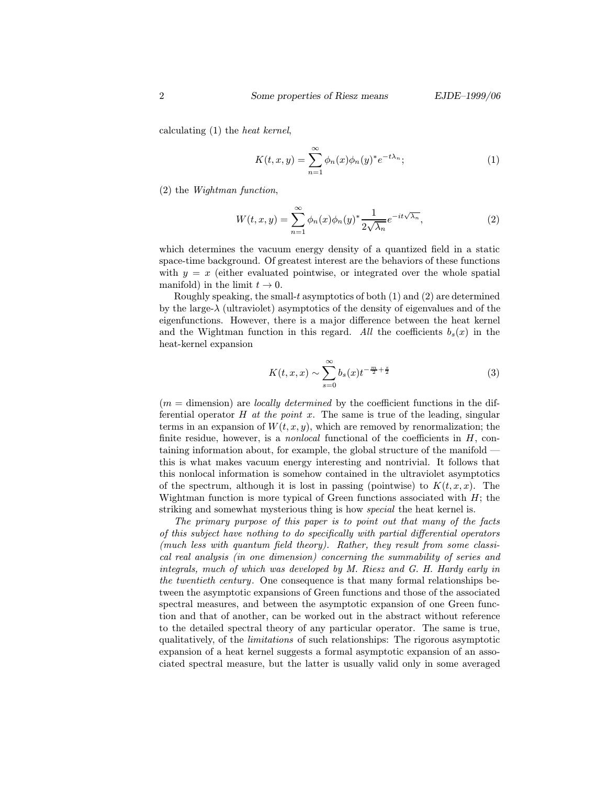calculating (1) the heat kernel,

$$
K(t,x,y) = \sum_{n=1}^{\infty} \phi_n(x)\phi_n(y)^* e^{-t\lambda_n};
$$
\n(1)

(2) the Wightman function,

$$
W(t,x,y) = \sum_{n=1}^{\infty} \phi_n(x)\phi_n(y)^* \frac{1}{2\sqrt{\lambda_n}} e^{-it\sqrt{\lambda_n}},
$$
\n(2)

which determines the vacuum energy density of a quantized field in a static space-time background. Of greatest interest are the behaviors of these functions with  $y = x$  (either evaluated pointwise, or integrated over the whole spatial manifold) in the limit  $t \to 0$ .

Roughly speaking, the small-t asymptotics of both  $(1)$  and  $(2)$  are determined by the large- $\lambda$  (ultraviolet) asymptotics of the density of eigenvalues and of the eigenfunctions. However, there is a major difference between the heat kernel and the Wightman function in this regard. All the coefficients  $b_s(x)$  in the heat-kernel expansion

$$
K(t, x, x) \sim \sum_{s=0}^{\infty} b_s(x) t^{-\frac{m}{2} + \frac{s}{2}}
$$
 (3)

 $(m =$  dimension) are *locally determined* by the coefficient functions in the differential operator  $H$  at the point  $x$ . The same is true of the leading, singular terms in an expansion of  $W(t, x, y)$ , which are removed by renormalization; the finite residue, however, is a *nonlocal* functional of the coefficients in  $H$ , containing information about, for example, the global structure of the manifold this is what makes vacuum energy interesting and nontrivial. It follows that this nonlocal information is somehow contained in the ultraviolet asymptotics of the spectrum, although it is lost in passing (pointwise) to  $K(t, x, x)$ . The Wightman function is more typical of Green functions associated with  $H$ ; the striking and somewhat mysterious thing is how special the heat kernel is.

The primary purpose of this paper is to point out that many of the facts of this subject have nothing to do specifically with partial differential operators (much less with quantum field theory). Rather, they result from some classical real analysis (in one dimension) concerning the summability of series and integrals, much of which was developed by M. Riesz and G. H. Hardy early in the twentieth century. One consequence is that many formal relationships between the asymptotic expansions of Green functions and those of the associated spectral measures, and between the asymptotic expansion of one Green function and that of another, can be worked out in the abstract without reference to the detailed spectral theory of any particular operator. The same is true, qualitatively, of the limitations of such relationships: The rigorous asymptotic expansion of a heat kernel suggests a formal asymptotic expansion of an associated spectral measure, but the latter is usually valid only in some averaged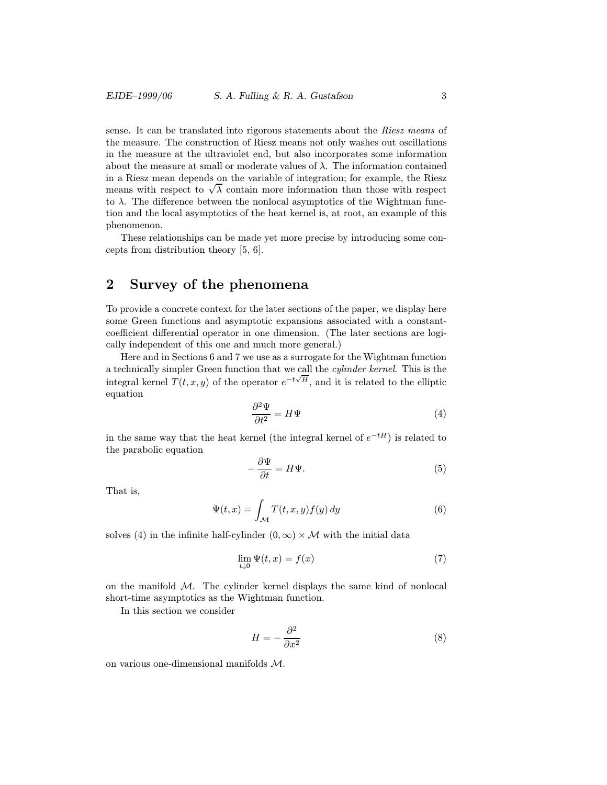sense. It can be translated into rigorous statements about the Riesz means of the measure. The construction of Riesz means not only washes out oscillations in the measure at the ultraviolet end, but also incorporates some information about the measure at small or moderate values of  $\lambda$ . The information contained in a Riesz mean depends on the variable of integration; for example, the Riesz m a ruesz mean depends on the variable of integration; for example, the ruesz<br>means with respect to  $\sqrt{\lambda}$  contain more information than those with respect to  $\lambda$ . The difference between the nonlocal asymptotics of the Wightman function and the local asymptotics of the heat kernel is, at root, an example of this phenomenon.

These relationships can be made yet more precise by introducing some concepts from distribution theory [5, 6].

## 2 Survey of the phenomena

To provide a concrete context for the later sections of the paper, we display here some Green functions and asymptotic expansions associated with a constantcoefficient differential operator in one dimension. (The later sections are logically independent of this one and much more general.)

Here and in Sections 6 and 7 we use as a surrogate for the Wightman function a technically simpler Green function that we call the cylinder kernel. This is the integral kernel  $T(t, x, y)$  of the operator  $e^{-t\sqrt{H}}$ , and it is related to the elliptic equation

$$
\frac{\partial^2 \Psi}{\partial t^2} = H\Psi \tag{4}
$$

in the same way that the heat kernel (the integral kernel of  $e^{-tH}$ ) is related to the parabolic equation

$$
-\frac{\partial \Psi}{\partial t} = H\Psi.
$$
\n(5)

That is,

$$
\Psi(t,x) = \int_{\mathcal{M}} T(t,x,y)f(y) \, dy \tag{6}
$$

solves (4) in the infinite half-cylinder  $(0, \infty) \times M$  with the initial data

$$
\lim_{t \downarrow 0} \Psi(t, x) = f(x) \tag{7}
$$

on the manifold  $M$ . The cylinder kernel displays the same kind of nonlocal short-time asymptotics as the Wightman function.

In this section we consider

$$
H = -\frac{\partial^2}{\partial x^2} \tag{8}
$$

on various one-dimensional manifolds M.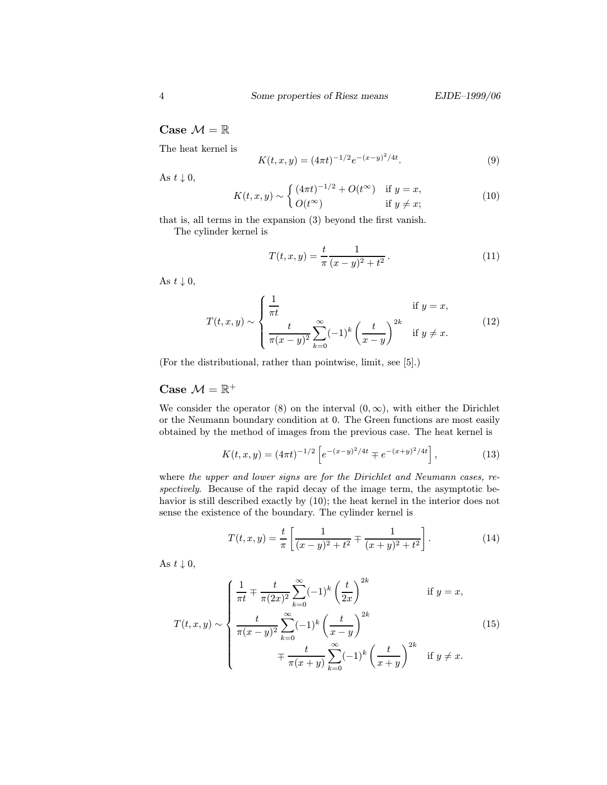#### Case  $\mathcal{M}=\mathbb{R}$

The heat kernel is

$$
K(t, x, y) = (4\pi t)^{-1/2} e^{-(x-y)^2/4t}.
$$
\n(9)

As  $t \downarrow 0$ ,

$$
K(t, x, y) \sim \begin{cases} (4\pi t)^{-1/2} + O(t^{\infty}) & \text{if } y = x, \\ O(t^{\infty}) & \text{if } y \neq x; \end{cases}
$$
(10)

that is, all terms in the expansion (3) beyond the first vanish.

The cylinder kernel is

$$
T(t, x, y) = \frac{t}{\pi} \frac{1}{(x - y)^2 + t^2}.
$$
 (11)

As  $t \downarrow 0$ ,

$$
T(t,x,y) \sim \begin{cases} \frac{1}{\pi t} & \text{if } y = x, \\ \frac{t}{\pi(x-y)^2} \sum_{k=0}^{\infty} (-1)^k \left(\frac{t}{x-y}\right)^{2k} & \text{if } y \neq x. \end{cases} \tag{12}
$$

(For the distributional, rather than pointwise, limit, see [5].)

#### Case  $\mathcal{M} = \mathbb{R}^+$

We consider the operator (8) on the interval  $(0, \infty)$ , with either the Dirichlet or the Neumann boundary condition at 0. The Green functions are most easily obtained by the method of images from the previous case. The heat kernel is

$$
K(t, x, y) = (4\pi t)^{-1/2} \left[ e^{-(x-y)^2/4t} \mp e^{-(x+y)^2/4t} \right],
$$
 (13)

where the upper and lower signs are for the Dirichlet and Neumann cases, respectively. Because of the rapid decay of the image term, the asymptotic behavior is still described exactly by (10); the heat kernel in the interior does not sense the existence of the boundary. The cylinder kernel is

$$
T(t,x,y) = \frac{t}{\pi} \left[ \frac{1}{(x-y)^2 + t^2} \mp \frac{1}{(x+y)^2 + t^2} \right].
$$
 (14)

As  $t \downarrow 0$ ,

$$
T(t,x,y) \sim \begin{cases} \frac{1}{\pi t} \mp \frac{t}{\pi (2x)^2} \sum_{k=0}^{\infty} (-1)^k \left(\frac{t}{2x}\right)^{2k} & \text{if } y = x, \\ \frac{t}{\pi (x-y)^2} \sum_{k=0}^{\infty} (-1)^k \left(\frac{t}{x-y}\right)^{2k} & (15) \\ \mp \frac{t}{\pi (x+y)} \sum_{k=0}^{\infty} (-1)^k \left(\frac{t}{x+y}\right)^{2k} & \text{if } y \neq x. \end{cases}
$$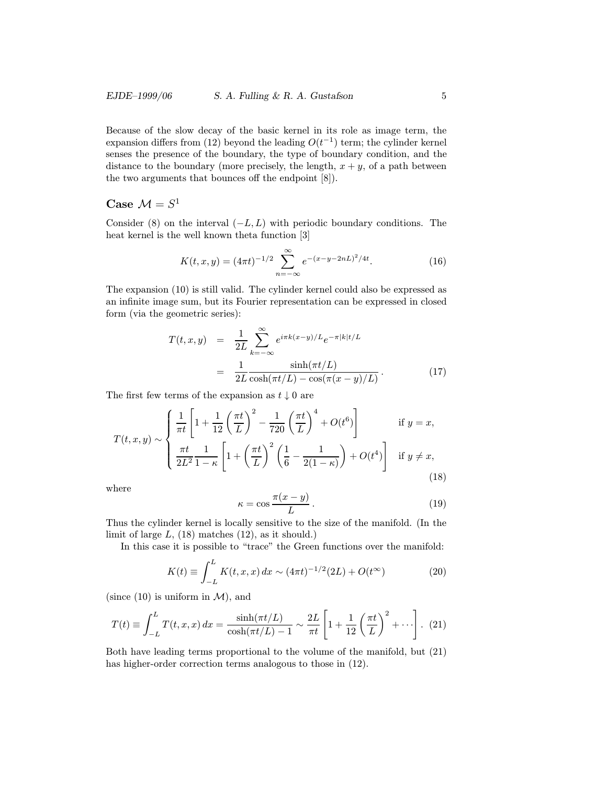Because of the slow decay of the basic kernel in its role as image term, the expansion differs from (12) beyond the leading  $O(t^{-1})$  term; the cylinder kernel senses the presence of the boundary, the type of boundary condition, and the distance to the boundary (more precisely, the length,  $x + y$ , of a path between the two arguments that bounces off the endpoint [8]).

### Case  $\mathcal{M} = S^1$

Consider (8) on the interval  $(-L, L)$  with periodic boundary conditions. The heat kernel is the well known theta function [3]

$$
K(t, x, y) = (4\pi t)^{-1/2} \sum_{n=-\infty}^{\infty} e^{-(x-y-2nL)^2/4t}.
$$
 (16)

The expansion (10) is still valid. The cylinder kernel could also be expressed as an infinite image sum, but its Fourier representation can be expressed in closed form (via the geometric series):

$$
T(t, x, y) = \frac{1}{2L} \sum_{k=-\infty}^{\infty} e^{i\pi k(x-y)/L} e^{-\pi |k|t/L}
$$

$$
= \frac{1}{2L} \frac{\sinh(\pi t/L)}{\cosh(\pi t/L) - \cos(\pi (x-y)/L)}.
$$
(17)

The first few terms of the expansion as  $t \downarrow 0$  are

$$
T(t, x, y) \sim \begin{cases} \frac{1}{\pi t} \left[ 1 + \frac{1}{12} \left( \frac{\pi t}{L} \right)^2 - \frac{1}{720} \left( \frac{\pi t}{L} \right)^4 + O(t^6) \right] & \text{if } y = x, \\ \frac{\pi t}{2L^2} \frac{1}{1 - \kappa} \left[ 1 + \left( \frac{\pi t}{L} \right)^2 \left( \frac{1}{6} - \frac{1}{2(1 - \kappa)} \right) + O(t^4) \right] & \text{if } y \neq x, \end{cases} \tag{18}
$$

where

$$
\kappa = \cos \frac{\pi (x - y)}{L} \,. \tag{19}
$$

Thus the cylinder kernel is locally sensitive to the size of the manifold. (In the limit of large  $L$ , (18) matches (12), as it should.)

In this case it is possible to "trace" the Green functions over the manifold:

$$
K(t) \equiv \int_{-L}^{L} K(t, x, x) dx \sim (4\pi t)^{-1/2} (2L) + O(t^{\infty})
$$
 (20)

(since  $(10)$  is uniform in  $\mathcal{M}$ ), and

$$
T(t) \equiv \int_{-L}^{L} T(t, x, x) dx = \frac{\sinh(\pi t/L)}{\cosh(\pi t/L) - 1} \sim \frac{2L}{\pi t} \left[ 1 + \frac{1}{12} \left( \frac{\pi t}{L} \right)^2 + \cdots \right]. \tag{21}
$$

Both have leading terms proportional to the volume of the manifold, but (21) has higher-order correction terms analogous to those in (12).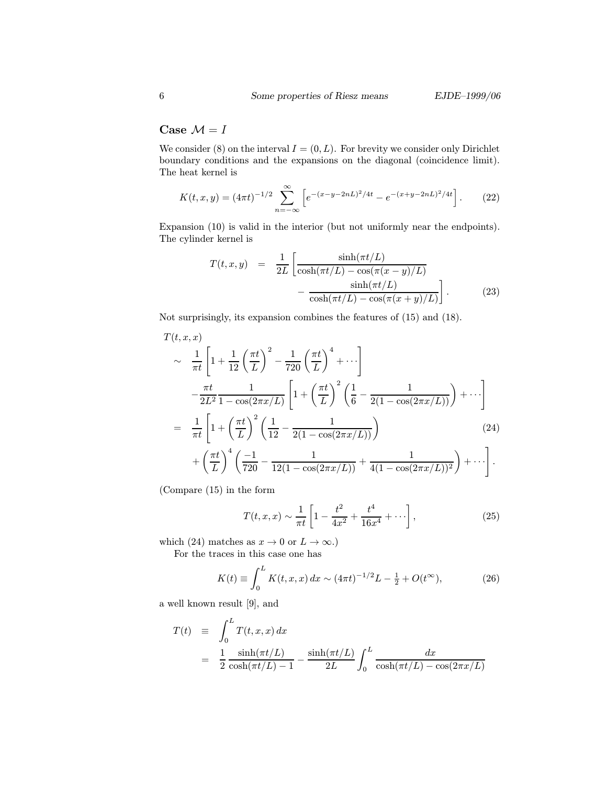#### Case  $\mathcal{M}=I$

We consider (8) on the interval  $I = (0, L)$ . For brevity we consider only Dirichlet boundary conditions and the expansions on the diagonal (coincidence limit). The heat kernel is

$$
K(t, x, y) = (4\pi t)^{-1/2} \sum_{n=-\infty}^{\infty} \left[ e^{-(x-y-2nL)^2/4t} - e^{-(x+y-2nL)^2/4t} \right].
$$
 (22)

Expansion (10) is valid in the interior (but not uniformly near the endpoints). The cylinder kernel is

$$
T(t, x, y) = \frac{1}{2L} \left[ \frac{\sinh(\pi t/L)}{\cosh(\pi t/L) - \cos(\pi (x - y)/L)} - \frac{\sinh(\pi t/L)}{\cosh(\pi t/L) - \cos(\pi (x + y)/L)} \right].
$$
 (23)

Not surprisingly, its expansion combines the features of (15) and (18).

$$
T(t, x, x)
$$
  
\n
$$
\sim \frac{1}{\pi t} \left[ 1 + \frac{1}{12} \left( \frac{\pi t}{L} \right)^2 - \frac{1}{720} \left( \frac{\pi t}{L} \right)^4 + \cdots \right]
$$
  
\n
$$
- \frac{\pi t}{2L^2} \frac{1}{1 - \cos(2\pi x/L)} \left[ 1 + \left( \frac{\pi t}{L} \right)^2 \left( \frac{1}{6} - \frac{1}{2(1 - \cos(2\pi x/L))} \right) + \cdots \right]
$$
  
\n
$$
= \frac{1}{\pi t} \left[ 1 + \left( \frac{\pi t}{L} \right)^2 \left( \frac{1}{12} - \frac{1}{2(1 - \cos(2\pi x/L))} \right) + \left( \frac{\pi t}{L} \right)^4 \left( \frac{-1}{720} - \frac{1}{12(1 - \cos(2\pi x/L))} + \frac{1}{4(1 - \cos(2\pi x/L))^2} \right) + \cdots \right].
$$
  
\n(24)

(Compare (15) in the form

$$
T(t, x, x) \sim \frac{1}{\pi t} \left[ 1 - \frac{t^2}{4x^2} + \frac{t^4}{16x^4} + \cdots \right],
$$
 (25)

which (24) matches as  $x \to 0$  or  $L \to \infty$ .)

For the traces in this case one has

$$
K(t) \equiv \int_0^L K(t, x, x) dx \sim (4\pi t)^{-1/2} L - \frac{1}{2} + O(t^{\infty}),
$$
 (26)

a well known result [9], and

$$
T(t) \equiv \int_0^L T(t, x, x) dx
$$
  
= 
$$
\frac{1}{2} \frac{\sinh(\pi t/L)}{\cosh(\pi t/L) - 1} - \frac{\sinh(\pi t/L)}{2L} \int_0^L \frac{dx}{\cosh(\pi t/L) - \cos(2\pi x/L)}
$$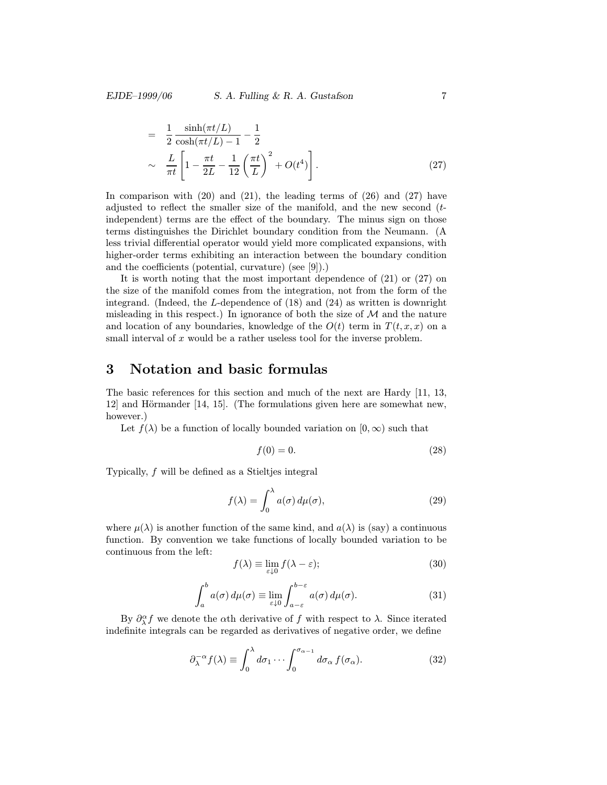$$
= \frac{1}{2} \frac{\sinh(\pi t/L)}{\cosh(\pi t/L) - 1} - \frac{1}{2}
$$
  
 
$$
\sim \frac{L}{\pi t} \left[ 1 - \frac{\pi t}{2L} - \frac{1}{12} \left( \frac{\pi t}{L} \right)^2 + O(t^4) \right].
$$
 (27)

In comparison with  $(20)$  and  $(21)$ , the leading terms of  $(26)$  and  $(27)$  have adjusted to reflect the smaller size of the manifold, and the new second  $(t$ independent) terms are the effect of the boundary. The minus sign on those terms distinguishes the Dirichlet boundary condition from the Neumann. (A less trivial differential operator would yield more complicated expansions, with higher-order terms exhibiting an interaction between the boundary condition and the coefficients (potential, curvature) (see [9]).)

It is worth noting that the most important dependence of (21) or (27) on the size of the manifold comes from the integration, not from the form of the integrand. (Indeed, the L-dependence of (18) and (24) as written is downright misleading in this respect.) In ignorance of both the size of  $M$  and the nature and location of any boundaries, knowledge of the  $O(t)$  term in  $T(t, x, x)$  on a small interval of  $x$  would be a rather useless tool for the inverse problem.

### 3 Notation and basic formulas

The basic references for this section and much of the next are Hardy [11, 13,  $12$ ] and Hörmander [14, 15]. (The formulations given here are somewhat new, however.

Let  $f(\lambda)$  be a function of locally bounded variation on  $[0,\infty)$  such that

$$
f(0) = 0.\t(28)
$$

Typically, f will be defined as a Stieltjes integral

$$
f(\lambda) = \int_0^{\lambda} a(\sigma) d\mu(\sigma), \qquad (29)
$$

where  $\mu(\lambda)$  is another function of the same kind, and  $a(\lambda)$  is (say) a continuous function. By convention we take functions of locally bounded variation to be continuous from the left:

$$
f(\lambda) \equiv \lim_{\varepsilon \downarrow 0} f(\lambda - \varepsilon); \tag{30}
$$

$$
\int_{a}^{b} a(\sigma) d\mu(\sigma) \equiv \lim_{\varepsilon \downarrow 0} \int_{a-\varepsilon}^{b-\varepsilon} a(\sigma) d\mu(\sigma).
$$
 (31)

By  $\partial_{\lambda}^{\alpha} f$  we denote the  $\alpha$ th derivative of f with respect to  $\lambda$ . Since iterated indefinite integrals can be regarded as derivatives of negative order, we define

$$
\partial_{\lambda}^{-\alpha} f(\lambda) \equiv \int_0^{\lambda} d\sigma_1 \cdots \int_0^{\sigma_{\alpha-1}} d\sigma_{\alpha} f(\sigma_{\alpha}). \tag{32}
$$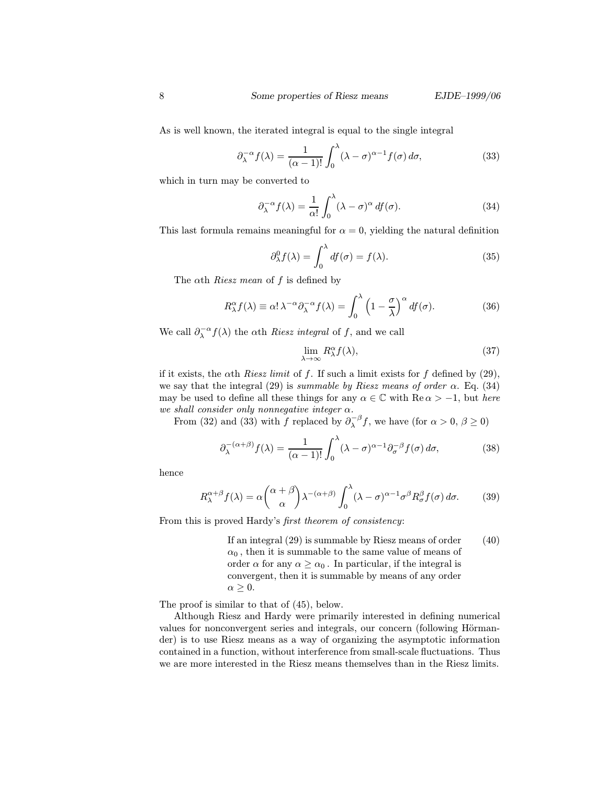As is well known, the iterated integral is equal to the single integral

$$
\partial_{\lambda}^{-\alpha} f(\lambda) = \frac{1}{(\alpha - 1)!} \int_0^{\lambda} (\lambda - \sigma)^{\alpha - 1} f(\sigma) d\sigma,
$$
 (33)

which in turn may be converted to

$$
\partial_{\lambda}^{-\alpha} f(\lambda) = \frac{1}{\alpha!} \int_0^{\lambda} (\lambda - \sigma)^{\alpha} df(\sigma).
$$
 (34)

This last formula remains meaningful for  $\alpha = 0$ , yielding the natural definition

$$
\partial_{\lambda}^{0} f(\lambda) = \int_{0}^{\lambda} df(\sigma) = f(\lambda). \tag{35}
$$

The  $\alpha$ th *Riesz mean* of f is defined by

$$
R_{\lambda}^{\alpha} f(\lambda) \equiv \alpha! \lambda^{-\alpha} \partial_{\lambda}^{-\alpha} f(\lambda) = \int_0^{\lambda} \left(1 - \frac{\sigma}{\lambda}\right)^{\alpha} df(\sigma). \tag{36}
$$

We call  $\partial_{\lambda}^{-\alpha} f(\lambda)$  the  $\alpha$ th *Riesz integral* of f, and we call

$$
\lim_{\lambda \to \infty} R_{\lambda}^{\alpha} f(\lambda),\tag{37}
$$

if it exists, the  $\alpha$ th *Riesz limit* of f. If such a limit exists for f defined by (29), we say that the integral (29) is summable by Riesz means of order  $\alpha$ . Eq. (34) may be used to define all these things for any  $\alpha \in \mathbb{C}$  with  $\text{Re}\,\alpha > -1$ , but *here* we shall consider only nonnegative integer  $\alpha$ .

From (32) and (33) with f replaced by  $\partial_{\lambda}^{-\beta} f$ , we have (for  $\alpha > 0, \beta \ge 0$ )

$$
\partial_{\lambda}^{-(\alpha+\beta)} f(\lambda) = \frac{1}{(\alpha-1)!} \int_0^{\lambda} (\lambda - \sigma)^{\alpha-1} \partial_{\sigma}^{-\beta} f(\sigma) d\sigma,
$$
 (38)

hence

$$
R_{\lambda}^{\alpha+\beta}f(\lambda) = \alpha \binom{\alpha+\beta}{\alpha} \lambda^{-(\alpha+\beta)} \int_0^{\lambda} (\lambda-\sigma)^{\alpha-1} \sigma^{\beta} R_{\sigma}^{\beta} f(\sigma) d\sigma.
$$
 (39)

From this is proved Hardy's first theorem of consistency:

If an integral (29) is summable by Riesz means of order  $\alpha_0$ , then it is summable to the same value of means of order  $\alpha$  for any  $\alpha \geq \alpha_0$ . In particular, if the integral is convergent, then it is summable by means of any order  $\alpha \geq 0.$ (40)

The proof is similar to that of (45), below.

Although Riesz and Hardy were primarily interested in defining numerical values for nonconvergent series and integrals, our concern (following Hörmander) is to use Riesz means as a way of organizing the asymptotic information contained in a function, without interference from small-scale fluctuations. Thus we are more interested in the Riesz means themselves than in the Riesz limits.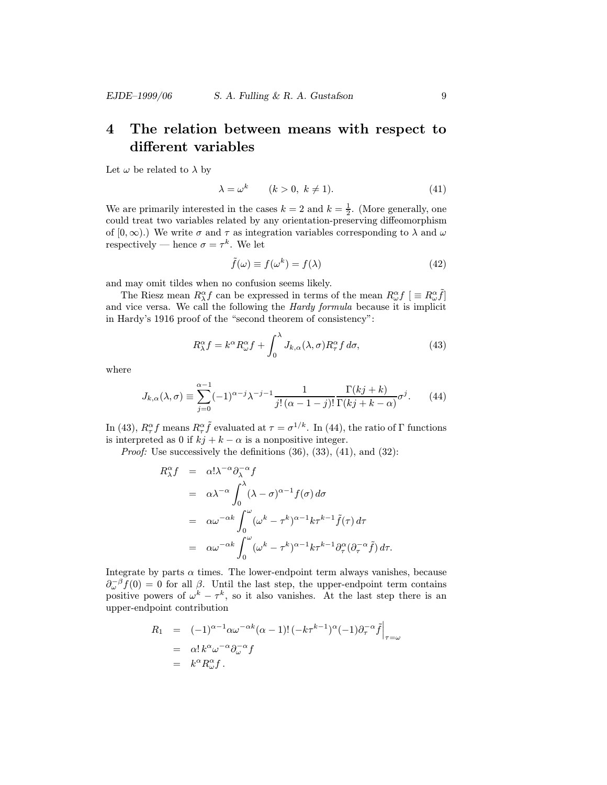## 4 The relation between means with respect to different variables

Let  $\omega$  be related to  $\lambda$  by

$$
\lambda = \omega^k \qquad (k > 0, \ k \neq 1). \tag{41}
$$

We are primarily interested in the cases  $k = 2$  and  $k = \frac{1}{2}$ . (More generally, one could treat two variables related by any orientation-preserving diffeomorphism of  $[0, \infty)$ .) We write  $\sigma$  and  $\tau$  as integration variables corresponding to  $\lambda$  and  $\omega$ respectively — hence  $\sigma = \tau^k$ . We let

$$
\tilde{f}(\omega) \equiv f(\omega^k) = f(\lambda) \tag{42}
$$

and may omit tildes when no confusion seems likely.

The Riesz mean  $R^{\alpha}_{\lambda} f$  can be expressed in terms of the mean  $R^{\alpha}_{\omega} f$  [ $\equiv R^{\alpha}_{\omega} \tilde{f}$ ] and vice versa. We call the following the Hardy formula because it is implicit in Hardy's 1916 proof of the "second theorem of consistency":

$$
R^{\alpha}_{\lambda} f = k^{\alpha} R^{\alpha}_{\omega} f + \int_0^{\lambda} J_{k,\alpha}(\lambda, \sigma) R^{\alpha}_{\tau} f \, d\sigma, \tag{43}
$$

where

$$
J_{k,\alpha}(\lambda,\sigma) \equiv \sum_{j=0}^{\alpha-1} (-1)^{\alpha-j} \lambda^{-j-1} \frac{1}{j! \, (\alpha-1-j)!} \frac{\Gamma(kj+k)}{\Gamma(kj+k-\alpha)} \sigma^j. \tag{44}
$$

In (43),  $R^{\alpha}_{\tau}f$  means  $R^{\alpha}_{\tau}\tilde{f}$  evaluated at  $\tau = \sigma^{1/k}$ . In (44), the ratio of  $\Gamma$  functions is interpreted as 0 if  $kj + k - \alpha$  is a nonpositive integer.

*Proof:* Use successively the definitions  $(36)$ ,  $(33)$ ,  $(41)$ , and  $(32)$ :

$$
R_{\lambda}^{\alpha} f = \alpha! \lambda^{-\alpha} \partial_{\lambda}^{-\alpha} f
$$
  
\n
$$
= \alpha \lambda^{-\alpha} \int_{0}^{\lambda} (\lambda - \sigma)^{\alpha - 1} f(\sigma) d\sigma
$$
  
\n
$$
= \alpha \omega^{-\alpha k} \int_{0}^{\omega} (\omega^{k} - \tau^{k})^{\alpha - 1} k \tau^{k - 1} \tilde{f}(\tau) d\tau
$$
  
\n
$$
= \alpha \omega^{-\alpha k} \int_{0}^{\omega} (\omega^{k} - \tau^{k})^{\alpha - 1} k \tau^{k - 1} \partial_{\tau}^{\alpha} (\partial_{\tau}^{-\alpha} \tilde{f}) d\tau.
$$

Integrate by parts  $\alpha$  times. The lower-endpoint term always vanishes, because  $\partial_{\omega}^{-\beta} f(0) = 0$  for all  $\beta$ . Until the last step, the upper-endpoint term contains positive powers of  $\omega^k - \tau^k$ , so it also vanishes. At the last step there is an upper-endpoint contribution

$$
R_1 = (-1)^{\alpha - 1} \alpha \omega^{-\alpha k} (\alpha - 1)! \left( -k \tau^{k-1} \right)^{\alpha} (-1) \partial_{\tau}^{-\alpha} \tilde{f} \Big|_{\tau = \omega}
$$
  
=  $\alpha! k^{\alpha} \omega^{-\alpha} \partial_{\omega}^{-\alpha} f$   
=  $k^{\alpha} R_{\omega}^{\alpha} f$ .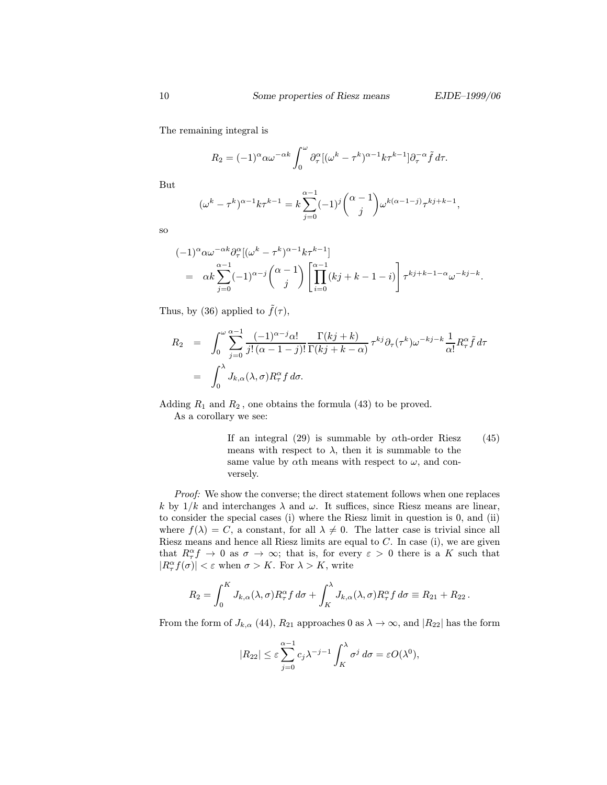The remaining integral is

$$
R_2 = (-1)^{\alpha} \alpha \omega^{-\alpha k} \int_0^{\omega} \partial_{\tau}^{\alpha} [(\omega^k - \tau^k)^{\alpha-1} k \tau^{k-1}] \partial_{\tau}^{-\alpha} \tilde{f} d\tau.
$$

But

$$
(\omega^k - \tau^k)^{\alpha-1} k \tau^{k-1} = k \sum_{j=0}^{\alpha-1} (-1)^j {\alpha-1 \choose j} \omega^{k(\alpha-1-j)} \tau^{kj+k-1},
$$

so

$$
(-1)^{\alpha} \alpha \omega^{-\alpha k} \partial_{\tau}^{\alpha} [(\omega^{k} - \tau^{k})^{\alpha - 1} k \tau^{k - 1}]
$$
  
=  $\alpha k \sum_{j=0}^{\alpha - 1} (-1)^{\alpha - j} {\alpha - 1 \choose j} \left[ \prod_{i=0}^{\alpha - 1} (kj + k - 1 - i) \right] \tau^{kj + k - 1 - \alpha} \omega^{-kj - k}.$ 

Thus, by (36) applied to  $\tilde{f}(\tau)$ ,

$$
R_2 = \int_0^{\omega} \sum_{j=0}^{\alpha-1} \frac{(-1)^{\alpha-j} \alpha!}{j! (\alpha-1-j)!} \frac{\Gamma(kj+k)}{\Gamma(kj+k-\alpha)} \tau^{kj} \partial_\tau(\tau^k) \omega^{-kj-k} \frac{1}{\alpha!} R_\tau^{\alpha} \tilde{f} d\tau
$$
  
= 
$$
\int_0^{\lambda} J_{k,\alpha}(\lambda,\sigma) R_\tau^{\alpha} f d\sigma.
$$

Adding  $R_1$  and  $R_2$ , one obtains the formula (43) to be proved.

As a corollary we see:

If an integral (29) is summable by  $\alpha$ th-order Riesz means with respect to  $\lambda$ , then it is summable to the same value by  $\alpha$ th means with respect to  $\omega$ , and conversely. (45)

Proof: We show the converse; the direct statement follows when one replaces k by  $1/k$  and interchanges  $\lambda$  and  $\omega$ . It suffices, since Riesz means are linear, to consider the special cases (i) where the Riesz limit in question is 0, and (ii) where  $f(\lambda) = C$ , a constant, for all  $\lambda \neq 0$ . The latter case is trivial since all Riesz means and hence all Riesz limits are equal to  $C$ . In case (i), we are given that  $R^{\alpha}_{\tau}f \to 0$  as  $\sigma \to \infty$ ; that is, for every  $\varepsilon > 0$  there is a K such that  $|R_{\tau}^{\alpha} f(\sigma)| < \varepsilon$  when  $\sigma > K$ . For  $\lambda > K$ , write

$$
R_2 = \int_0^K J_{k,\alpha}(\lambda,\sigma) R_\tau^\alpha f \, d\sigma + \int_K^\lambda J_{k,\alpha}(\lambda,\sigma) R_\tau^\alpha f \, d\sigma \equiv R_{21} + R_{22}.
$$

From the form of  $J_{k,\alpha}$  (44),  $R_{21}$  approaches 0 as  $\lambda \to \infty$ , and  $|R_{22}|$  has the form

$$
|R_{22}| \leq \varepsilon \sum_{j=0}^{\alpha-1} c_j \lambda^{-j-1} \int_K^{\lambda} \sigma^j d\sigma = \varepsilon O(\lambda^0),
$$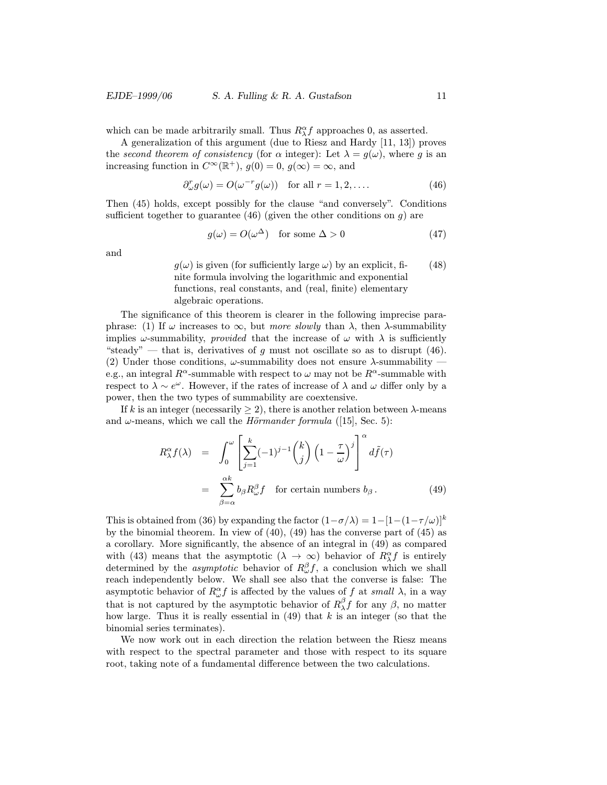which can be made arbitrarily small. Thus  $R_{\lambda}^{\alpha} f$  approaches 0, as asserted.

A generalization of this argument (due to Riesz and Hardy [11, 13]) proves the second theorem of consistency (for  $\alpha$  integer): Let  $\lambda = g(\omega)$ , where g is an increasing function in  $C^{\infty}(\mathbb{R}^+), g(0) = 0, g(\infty) = \infty$ , and

$$
\partial_{\omega}^{r} g(\omega) = O(\omega^{-r} g(\omega)) \quad \text{for all } r = 1, 2, \dots \tag{46}
$$

Then (45) holds, except possibly for the clause "and conversely". Conditions sufficient together to guarantee (46) (given the other conditions on  $g$ ) are

$$
g(\omega) = O(\omega^{\Delta}) \quad \text{for some } \Delta > 0 \tag{47}
$$

and

 $g(\omega)$  is given (for sufficiently large  $\omega$ ) by an explicit, finite formula involving the logarithmic and exponential functions, real constants, and (real, finite) elementary algebraic operations. (48)

The significance of this theorem is clearer in the following imprecise paraphrase: (1) If  $\omega$  increases to  $\infty$ , but *more slowly* than  $\lambda$ , then  $\lambda$ -summability implies  $\omega$ -summability, *provided* that the increase of  $\omega$  with  $\lambda$  is sufficiently "steady" — that is, derivatives of q must not oscillate so as to disrupt (46). (2) Under those conditions,  $\omega$ -summability does not ensure  $\lambda$ -summability e.g., an integral  $R^{\alpha}$ -summable with respect to  $\omega$  may not be  $R^{\alpha}$ -summable with respect to  $\lambda \sim e^{\omega}$ . However, if the rates of increase of  $\lambda$  and  $\omega$  differ only by a power, then the two types of summability are coextensive.

If k is an integer (necessarily  $\geq$  2), there is another relation between  $\lambda$ -means and  $\omega$ -means, which we call the *Hörmander formula* ([15], Sec. 5):

$$
R_{\lambda}^{\alpha} f(\lambda) = \int_0^{\omega} \left[ \sum_{j=1}^k (-1)^{j-1} {k \choose j} \left( 1 - \frac{\tau}{\omega} \right)^j \right]^{\alpha} d\tilde{f}(\tau)
$$
  
= 
$$
\sum_{\beta=\alpha}^{\alpha k} b_{\beta} R_{\omega}^{\beta} f \text{ for certain numbers } b_{\beta}.
$$
 (49)

This is obtained from (36) by expanding the factor  $(1-\sigma/\lambda)=1-[1-(1-\tau/\omega)]^k$ by the binomial theorem. In view of  $(40)$ ,  $(49)$  has the converse part of  $(45)$  as a corollary. More significantly, the absence of an integral in (49) as compared with (43) means that the asymptotic  $(\lambda \to \infty)$  behavior of  $R_{\lambda}^{\alpha} f$  is entirely determined by the *asymptotic* behavior of  $R^{\beta}_{\omega}f$ , a conclusion which we shall reach independently below. We shall see also that the converse is false: The asymptotic behavior of  $R_{\omega}^{\alpha} f$  is affected by the values of f at small  $\lambda$ , in a way that is not captured by the asymptotic behavior of  $R_\lambda^\beta f$  for any  $\beta$ , no matter how large. Thus it is really essential in  $(49)$  that k is an integer (so that the binomial series terminates).

We now work out in each direction the relation between the Riesz means with respect to the spectral parameter and those with respect to its square root, taking note of a fundamental difference between the two calculations.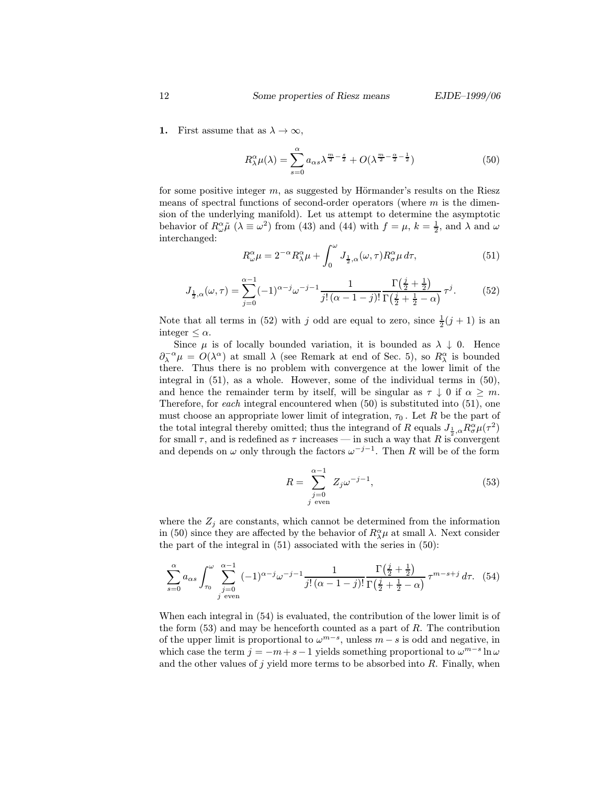1. First assume that as  $\lambda \to \infty$ ,

$$
R_{\lambda}^{\alpha}\mu(\lambda) = \sum_{s=0}^{\alpha} a_{\alpha s} \lambda^{\frac{m}{2} - \frac{s}{2}} + O(\lambda^{\frac{m}{2} - \frac{\alpha}{2} - \frac{1}{2}})
$$
(50)

for some positive integer  $m$ , as suggested by Hörmander's results on the Riesz means of spectral functions of second-order operators (where  $m$  is the dimension of the underlying manifold). Let us attempt to determine the asymptotic behavior of  $R_{\omega}^{\alpha} \tilde{\mu}$  ( $\lambda \equiv \omega^2$ ) from (43) and (44) with  $f = \mu$ ,  $k = \frac{1}{2}$ , and  $\lambda$  and  $\omega$ interchanged:

$$
R^{\alpha}_{\omega}\mu = 2^{-\alpha}R^{\alpha}_{\lambda}\mu + \int_{0}^{\omega} J_{\frac{1}{2},\alpha}(\omega,\tau)R^{\alpha}_{\sigma}\mu \,d\tau, \tag{51}
$$

$$
J_{\frac{1}{2},\alpha}(\omega,\tau) = \sum_{j=0}^{\alpha-1} (-1)^{\alpha-j} \omega^{-j-1} \frac{1}{j! \, (\alpha-1-j)!} \frac{\Gamma(\frac{j}{2} + \frac{1}{2})}{\Gamma(\frac{j}{2} + \frac{1}{2} - \alpha)} \, \tau^j. \tag{52}
$$

Note that all terms in (52) with j odd are equal to zero, since  $\frac{1}{2}(j + 1)$  is an integer  $\leq \alpha$ .

Since  $\mu$  is of locally bounded variation, it is bounded as  $\lambda \downarrow 0$ . Hence  $\partial_{\lambda}^{-\alpha}\mu = O(\lambda^{\alpha})$  at small  $\lambda$  (see Remark at end of Sec. 5), so  $R_{\lambda}^{\alpha}$  is bounded there. Thus there is no problem with convergence at the lower limit of the integral in (51), as a whole. However, some of the individual terms in (50), and hence the remainder term by itself, will be singular as  $\tau \downarrow 0$  if  $\alpha \geq m$ . Therefore, for each integral encountered when (50) is substituted into (51), one must choose an appropriate lower limit of integration,  $\tau_0$ . Let R be the part of the total integral thereby omitted; thus the integrand of R equals  $J_{\frac{1}{2},\alpha}R_{\sigma}^{\alpha}\mu(\tau^2)$ for small  $\tau$ , and is redefined as  $\tau$  increases — in such a way that R is convergent and depends on  $\omega$  only through the factors  $\omega^{-j-1}$ . Then R will be of the form

$$
R = \sum_{\substack{j=0 \ j \text{ even}}}^{\alpha - 1} Z_j \omega^{-j-1},\tag{53}
$$

where the  $Z_j$  are constants, which cannot be determined from the information in (50) since they are affected by the behavior of  $R^{\alpha}_{\lambda}\mu$  at small  $\lambda$ . Next consider the part of the integral in (51) associated with the series in (50):

$$
\sum_{s=0}^{\alpha} a_{\alpha s} \int_{\tau_0}^{\omega} \sum_{\substack{j=0 \ j \text{ even}}}^{\alpha-1} (-1)^{\alpha-j} \omega^{-j-1} \frac{1}{j! \, (\alpha-1-j)!} \frac{\Gamma(\frac{j}{2} + \frac{1}{2})}{\Gamma(\frac{j}{2} + \frac{1}{2} - \alpha)} \, \tau^{m-s+j} \, d\tau. \tag{54}
$$

When each integral in (54) is evaluated, the contribution of the lower limit is of the form  $(53)$  and may be henceforth counted as a part of R. The contribution of the upper limit is proportional to  $\omega^{m-s}$ , unless  $m-s$  is odd and negative, in which case the term  $j = -m+s-1$  yields something proportional to  $\omega^{m-s} \ln \omega$ and the other values of  $j$  yield more terms to be absorbed into  $R$ . Finally, when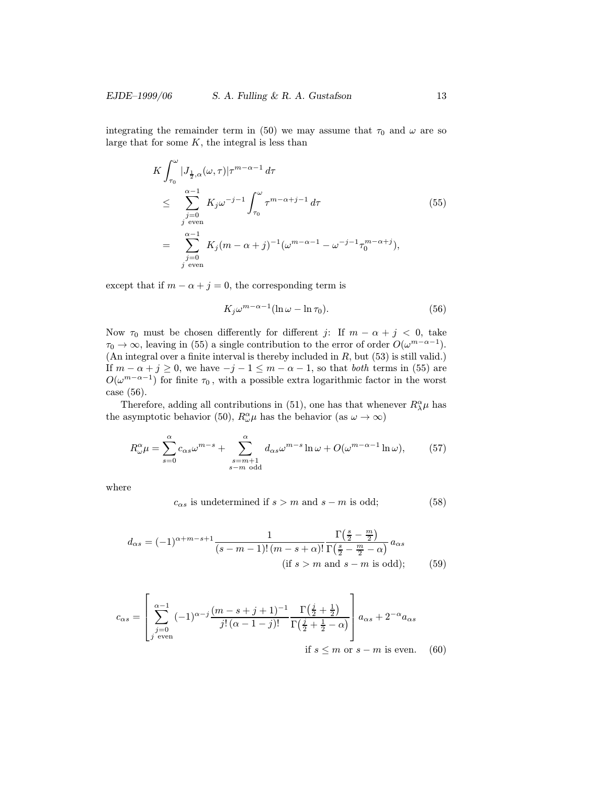integrating the remainder term in (50) we may assume that  $\tau_0$  and  $\omega$  are so large that for some  $K$ , the integral is less than

$$
K \int_{\tau_0}^{\omega} |J_{\frac{1}{2},\alpha}(\omega,\tau)|\tau^{m-\alpha-1} d\tau
$$
  
\n
$$
\leq \sum_{\substack{j=0 \ j \text{ even}}}^{\alpha-1} K_j \omega^{-j-1} \int_{\tau_0}^{\omega} \tau^{m-\alpha+j-1} d\tau
$$
  
\n
$$
= \sum_{\substack{j=0 \ j \text{ even}}}^{\alpha-1} K_j (m-\alpha+j)^{-1} (\omega^{m-\alpha-1} - \omega^{-j-1} \tau_0^{m-\alpha+j}),
$$
\n(55)

except that if  $m - \alpha + j = 0$ , the corresponding term is

$$
K_j \omega^{m-\alpha-1} (\ln \omega - \ln \tau_0). \tag{56}
$$

Now  $\tau_0$  must be chosen differently for different j: If  $m - \alpha + j < 0$ , take  $\tau_0 \to \infty$ , leaving in (55) a single contribution to the error of order  $O(\omega^{m-\alpha-1})$ . (An integral over a finite interval is thereby included in  $R$ , but (53) is still valid.) If  $m - \alpha + j \geq 0$ , we have  $-j - 1 \leq m - \alpha - 1$ , so that *both* terms in (55) are  $O(\omega^{m-\alpha-1})$  for finite  $\tau_0\,,$  with a possible extra logarithmic factor in the worst case (56).

Therefore, adding all contributions in (51), one has that whenever  $R^{\alpha}_{\lambda}\mu$  has the asymptotic behavior (50),  $R^{\alpha}_{\omega} \mu$  has the behavior (as  $\omega \to \infty$ )

$$
R^{\alpha}_{\omega}\mu = \sum_{s=0}^{\alpha} c_{\alpha s} \omega^{m-s} + \sum_{\substack{s=m+1 \ s-m \text{ odd}}}^{\alpha} d_{\alpha s} \omega^{m-s} \ln \omega + O(\omega^{m-\alpha-1} \ln \omega), \tag{57}
$$

where

$$
c_{\alpha s} \text{ is undetermined if } s > m \text{ and } s - m \text{ is odd}; \tag{58}
$$

$$
d_{\alpha s} = (-1)^{\alpha + m - s + 1} \frac{1}{(s - m - 1)!(m - s + \alpha)!} \frac{\Gamma\left(\frac{s}{2} - \frac{m}{2}\right)}{\Gamma\left(\frac{s}{2} - \frac{m}{2} - \alpha\right)} a_{\alpha s}
$$
\n(if  $s > m$  and  $s - m$  is odd);

\n(59)

$$
c_{\alpha s} = \left[ \sum_{\substack{j=0 \ j \text{ even}}}^{\alpha - 1} (-1)^{\alpha - j} \frac{(m - s + j + 1)^{-1}}{j! (\alpha - 1 - j)!} \frac{\Gamma(\frac{j}{2} + \frac{1}{2})}{\Gamma(\frac{j}{2} + \frac{1}{2} - \alpha)} \right] a_{\alpha s} + 2^{-\alpha} a_{\alpha s}
$$
  
if  $s \le m$  or  $s - m$  is even. (60)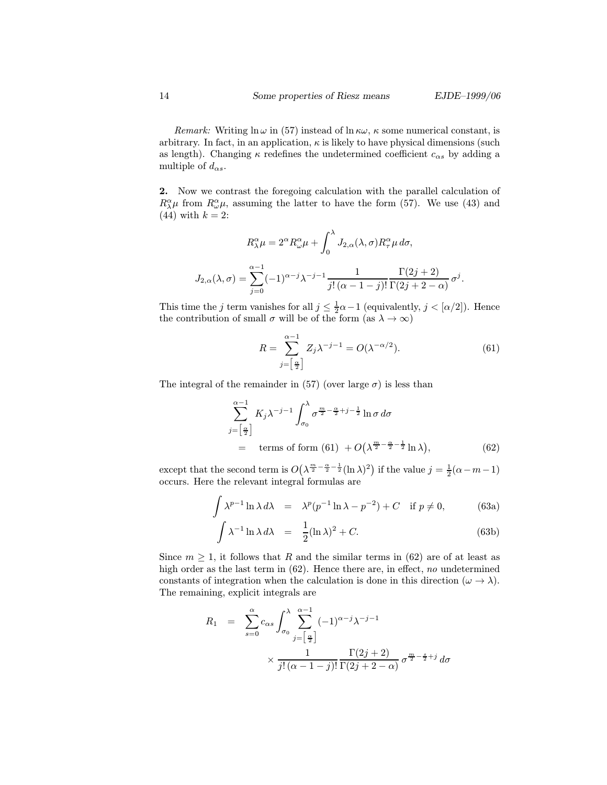Remark: Writing  $\ln \omega$  in (57) instead of  $\ln \kappa \omega$ ,  $\kappa$  some numerical constant, is arbitrary. In fact, in an application,  $\kappa$  is likely to have physical dimensions (such as length). Changing  $\kappa$  redefines the undetermined coefficient  $c_{\alpha s}$  by adding a multiple of  $d_{\alpha s}$ .

2. Now we contrast the foregoing calculation with the parallel calculation of  $R^{\alpha}_{\lambda}\mu$  from  $R^{\alpha}_{\omega}\mu$ , assuming the latter to have the form (57). We use (43) and  $(44)$  with  $k = 2$ :

$$
R_{\lambda}^{\alpha} \mu = 2^{\alpha} R_{\omega}^{\alpha} \mu + \int_0^{\lambda} J_{2,\alpha}(\lambda, \sigma) R_{\tau}^{\alpha} \mu \, d\sigma,
$$
  

$$
J_{2,\alpha}(\lambda, \sigma) = \sum_{j=0}^{\alpha-1} (-1)^{\alpha-j} \lambda^{-j-1} \frac{1}{j! (\alpha-1-j)!} \frac{\Gamma(2j+2)}{\Gamma(2j+2-\alpha)} \sigma^j.
$$

This time the j term vanishes for all  $j \leq \frac{1}{2}\alpha - 1$  (equivalently,  $j < [\alpha/2]$ ). Hence the contribution of small  $\sigma$  will be of the form (as  $\lambda \to \infty$ )

$$
R = \sum_{j=\left[\frac{\alpha}{2}\right]}^{\alpha-1} Z_j \lambda^{-j-1} = O(\lambda^{-\alpha/2}).\tag{61}
$$

The integral of the remainder in (57) (over large  $\sigma$ ) is less than

$$
\sum_{j=\left[\frac{\alpha}{2}\right]}^{\alpha-1} K_j \lambda^{-j-1} \int_{\sigma_0}^{\lambda} \sigma^{\frac{m}{2}-\frac{\alpha}{2}+j-\frac{1}{2}} \ln \sigma \, d\sigma
$$
\n
$$
= \text{terms of form (61) } + O\left(\lambda^{\frac{m}{2}-\frac{\alpha}{2}-\frac{1}{2}} \ln \lambda\right), \tag{62}
$$

except that the second term is  $O(\lambda^{\frac{m}{2}-\frac{\alpha}{2}-\frac{1}{2}}(\ln \lambda)^2)$  if the value  $j=\frac{1}{2}(\alpha-m-1)$ occurs. Here the relevant integral formulas are

$$
\int \lambda^{p-1} \ln \lambda \, d\lambda = \lambda^p (p^{-1} \ln \lambda - p^{-2}) + C \quad \text{if } p \neq 0,
$$
 (63a)

$$
\int \lambda^{-1} \ln \lambda \, d\lambda = \frac{1}{2} (\ln \lambda)^2 + C. \tag{63b}
$$

Since  $m \geq 1$ , it follows that R and the similar terms in (62) are of at least as high order as the last term in (62). Hence there are, in effect, no undetermined constants of integration when the calculation is done in this direction  $(\omega \to \lambda)$ . The remaining, explicit integrals are

$$
R_1 = \sum_{s=0}^{\alpha} c_{\alpha s} \int_{\sigma_0}^{\lambda} \sum_{j=\left[\frac{\alpha}{2}\right]}^{\alpha-1} (-1)^{\alpha-j} \lambda^{-j-1}
$$

$$
\times \frac{1}{j! \left(\alpha - 1 - j\right)!} \frac{\Gamma(2j+2)}{\Gamma(2j+2-\alpha)} \sigma^{\frac{m}{2} - \frac{s}{2} + j} d\sigma
$$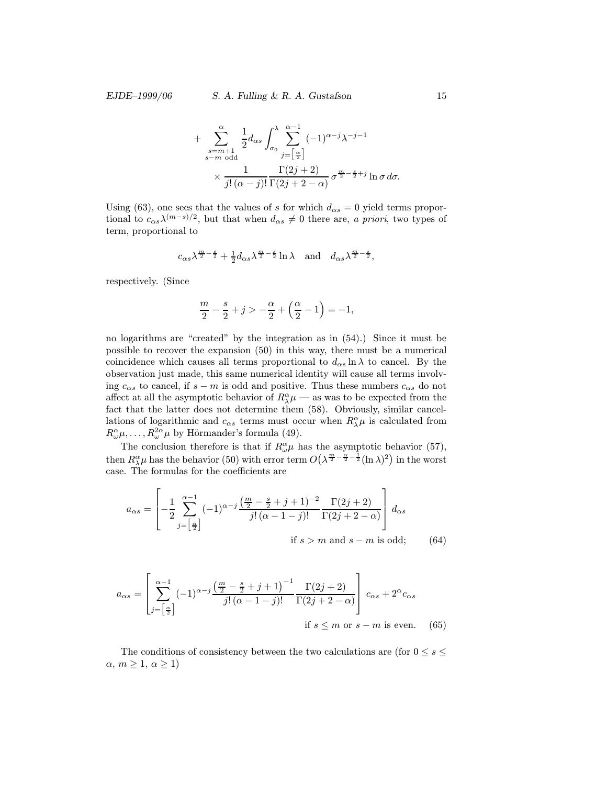+ 
$$
\sum_{\substack{s=m+1 \ s-m \text{ odd}}}^{\alpha} \frac{1}{2} d_{\alpha s} \int_{\sigma_0}^{\lambda} \sum_{j=\left[\frac{\alpha}{2}\right]}^{\alpha-1} (-1)^{\alpha-j} \lambda^{-j-1}
$$
  
 
$$
\times \frac{1}{j! \, (\alpha-j)!} \frac{\Gamma(2j+2)}{\Gamma(2j+2-\alpha)} \, \sigma^{\frac{m}{2}-\frac{s}{2}+j} \ln \sigma \, d\sigma.
$$

Using (63), one sees that the values of s for which  $d_{\alpha s} = 0$  yield terms proportional to  $c_{\alpha s} \lambda^{(m-s)/2}$ , but that when  $d_{\alpha s} \neq 0$  there are, a priori, two types of term, proportional to

$$
c_{\alpha s}\lambda^{\frac{m}{2}-\frac{s}{2}}+\tfrac{1}{2}d_{\alpha s}\lambda^{\frac{m}{2}-\frac{s}{2}}\ln\lambda\quad\text{and}\quad d_{\alpha s}\lambda^{\frac{m}{2}-\frac{s}{2}},
$$

respectively. (Since

$$
\frac{m}{2} - \frac{s}{2} + j > -\frac{\alpha}{2} + \left(\frac{\alpha}{2} - 1\right) = -1,
$$

no logarithms are "created" by the integration as in (54).) Since it must be possible to recover the expansion (50) in this way, there must be a numerical coincidence which causes all terms proportional to  $d_{\alpha s} \ln \lambda$  to cancel. By the observation just made, this same numerical identity will cause all terms involving  $c_{\alpha s}$  to cancel, if  $s - m$  is odd and positive. Thus these numbers  $c_{\alpha s}$  do not affect at all the asymptotic behavior of  $R^{\alpha}_{\lambda}\mu$  — as was to be expected from the fact that the latter does not determine them (58). Obviously, similar cancellations of logarithmic and  $c_{\alpha s}$  terms must occur when  $R^{\alpha}_{\lambda} \mu$  is calculated from  $R^{\alpha}_{\omega}\mu, \ldots, R^{2\alpha}_{\omega}\mu$  by Hörmander's formula (49).

The conclusion therefore is that if  $R^{\alpha}_{\omega}\mu$  has the asymptotic behavior (57), then  $R^\alpha_\lambda\mu$  has the behavior (50) with error term  $O(\lambda^{\frac{m}{2}-\frac{\alpha}{2}-\frac{1}{2}}(\ln\lambda)^2)$  in the worst case. The formulas for the coefficients are

$$
a_{\alpha s} = \left[ -\frac{1}{2} \sum_{j=\left[\frac{\alpha}{2}\right]}^{\alpha-1} (-1)^{\alpha-j} \frac{\left(\frac{m}{2} - \frac{s}{2} + j + 1\right)^{-2}}{j! \left(\alpha - 1 - j\right)!} \frac{\Gamma(2j+2)}{\Gamma(2j+2-\alpha)} \right] d_{\alpha s}
$$
  
if  $s > m$  and  $s - m$  is odd; (64)

$$
a_{\alpha s} = \left[\sum_{j=\left[\frac{\alpha}{2}\right]}^{\alpha-1} (-1)^{\alpha-j} \frac{\left(\frac{m}{2} - \frac{s}{2} + j + 1\right)^{-1}}{j! \left(\alpha - 1 - j\right)!} \frac{\Gamma(2j+2)}{\Gamma(2j+2-\alpha)}\right] c_{\alpha s} + 2^{\alpha} c_{\alpha s}
$$
  
if  $s \leq m$  or  $s - m$  is even. (65)

The conditions of consistency between the two calculations are (for  $0 \leq s \leq$  $\alpha, m \geq 1, \alpha \geq 1$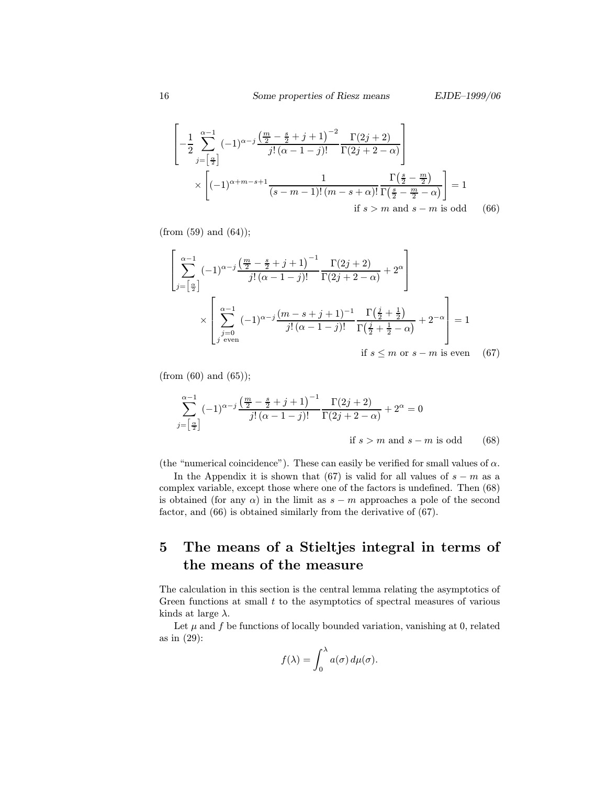$\overline{\mathbf{u}}$ 

$$
\left[ -\frac{1}{2} \sum_{j=\left[\frac{\alpha}{2}\right]}^{\alpha-1} (-1)^{\alpha-j} \frac{\left(\frac{m}{2} - \frac{s}{2} + j + 1\right)^{-2}}{j! \left(\alpha - 1 - j\right)!} \frac{\Gamma(2j+2)}{\Gamma(2j+2-\alpha)} \right] \times \left[ (-1)^{\alpha+m-s+1} \frac{1}{(s-m-1)! \left(m-s+\alpha\right)!} \frac{\Gamma\left(\frac{s}{2} - \frac{m}{2}\right)}{\Gamma\left(\frac{s}{2} - \frac{m}{2} - \alpha\right)} \right] = 1
$$
\nif  $s > m$  and  $s - m$  is odd

\n(66)

 $(from (59) and (64));$ 

$$
\left[\sum_{j=\left[\frac{\alpha}{2}\right]}^{\alpha-1} (-1)^{\alpha-j} \frac{\left(\frac{m}{2} - \frac{s}{2} + j + 1\right)^{-1}}{j! \left(\alpha - 1 - j\right)!} \frac{\Gamma(2j+2)}{\Gamma(2j+2-\alpha)} + 2^{\alpha}\right] \times \left[\sum_{\substack{j=0 \ j \text{ even}}}^{\alpha-1} (-1)^{\alpha-j} \frac{\left(m-s+j+1\right)^{-1}}{j! \left(\alpha - 1 - j\right)!} \frac{\Gamma\left(\frac{j}{2} + \frac{1}{2}\right)}{\Gamma\left(\frac{j}{2} + \frac{1}{2} - \alpha\right)} + 2^{-\alpha}\right] = 1
$$
\nif  $s \leq m$  or  $s - m$  is even (67)

(from  $(60)$  and  $(65)$ );

$$
\sum_{j=\left[\frac{\alpha}{2}\right]}^{\alpha-1} (-1)^{\alpha-j} \frac{\left(\frac{m}{2} - \frac{s}{2} + j + 1\right)^{-1}}{j! \left(\alpha - 1 - j\right)!} \frac{\Gamma(2j+2)}{\Gamma(2j+2-\alpha)} + 2^{\alpha} = 0
$$
  
if  $s > m$  and  $s - m$  is odd (68)

(the "numerical coincidence"). These can easily be verified for small values of  $\alpha$ .

In the Appendix it is shown that (67) is valid for all values of  $s - m$  as a complex variable, except those where one of the factors is undefined. Then (68) is obtained (for any  $\alpha$ ) in the limit as  $s - m$  approaches a pole of the second factor, and (66) is obtained similarly from the derivative of (67).

## 5 The means of a Stieltjes integral in terms of the means of the measure

The calculation in this section is the central lemma relating the asymptotics of Green functions at small  $t$  to the asymptotics of spectral measures of various kinds at large  $\lambda$ .

Let  $\mu$  and  $f$  be functions of locally bounded variation, vanishing at 0, related as in (29):

$$
f(\lambda) = \int_0^{\lambda} a(\sigma) d\mu(\sigma).
$$

 $\mathbf{r}$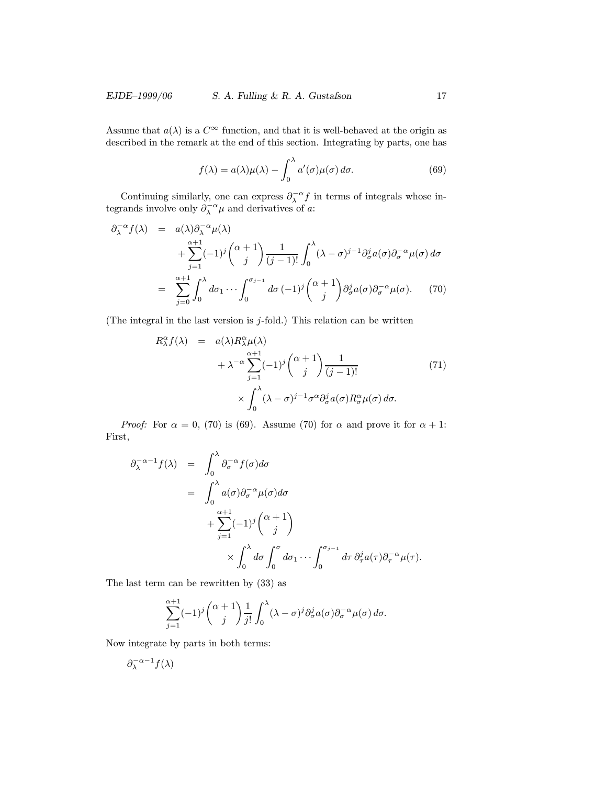### EJDE–1999/06 S. A. Fulling & R. A. Gustafson 17

Assume that  $a(\lambda)$  is a  $C^{\infty}$  function, and that it is well-behaved at the origin as described in the remark at the end of this section. Integrating by parts, one has

$$
f(\lambda) = a(\lambda)\mu(\lambda) - \int_0^{\lambda} a'(\sigma)\mu(\sigma) d\sigma.
$$
 (69)

Continuing similarly, one can express  $\partial_{\lambda}^{-\alpha} f$  in terms of integrals whose integrands involve only  $\partial_{\lambda}^{-\alpha} \mu$  and derivatives of a:

$$
\partial_{\lambda}^{-\alpha} f(\lambda) = a(\lambda) \partial_{\lambda}^{-\alpha} \mu(\lambda)
$$
  
+ 
$$
\sum_{j=1}^{\alpha+1} (-1)^{j} {\alpha+1 \choose j} \frac{1}{(j-1)!} \int_{0}^{\lambda} (\lambda - \sigma)^{j-1} \partial_{\sigma}^{j} a(\sigma) \partial_{\sigma}^{-\alpha} \mu(\sigma) d\sigma
$$
  
= 
$$
\sum_{j=0}^{\alpha+1} \int_{0}^{\lambda} d\sigma_{1} \cdots \int_{0}^{\sigma_{j-1}} d\sigma (-1)^{j} {\alpha+1 \choose j} \partial_{\sigma}^{j} a(\sigma) \partial_{\sigma}^{-\alpha} \mu(\sigma).
$$
 (70)

(The integral in the last version is  $j$ -fold.) This relation can be written

$$
R_{\lambda}^{\alpha} f(\lambda) = a(\lambda) R_{\lambda}^{\alpha} \mu(\lambda)
$$
  
+  $\lambda^{-\alpha} \sum_{j=1}^{\alpha+1} (-1)^j {\alpha+1 \choose j} \frac{1}{(j-1)!}$  (71)  
 $\times \int_0^{\lambda} (\lambda - \sigma)^{j-1} \sigma^{\alpha} \partial_{\sigma}^j a(\sigma) R_{\sigma}^{\alpha} \mu(\sigma) d\sigma.$ 

*Proof:* For  $\alpha = 0$ , (70) is (69). Assume (70) for  $\alpha$  and prove it for  $\alpha + 1$ : First,

$$
\partial_{\lambda}^{-\alpha-1} f(\lambda) = \int_{0}^{\lambda} \partial_{\sigma}^{-\alpha} f(\sigma) d\sigma
$$
  
\n
$$
= \int_{0}^{\lambda} a(\sigma) \partial_{\sigma}^{-\alpha} \mu(\sigma) d\sigma
$$
  
\n
$$
+ \sum_{j=1}^{\alpha+1} (-1)^{j} {\alpha+1 \choose j} \times \int_{0}^{\lambda} d\sigma \int_{0}^{\sigma} d\sigma_{1} \cdots \int_{0}^{\sigma_{j-1}} d\tau \partial_{\tau}^{j} a(\tau) \partial_{\tau}^{-\alpha} \mu(\tau).
$$

The last term can be rewritten by (33) as

$$
\sum_{j=1}^{\alpha+1}(-1)^j {\alpha+1 \choose j} \frac{1}{j!} \int_0^{\lambda} (\lambda - \sigma)^j \partial_{\sigma}^j a(\sigma) \partial_{\sigma}^{-\alpha} \mu(\sigma) d\sigma.
$$

Now integrate by parts in both terms:

$$
\partial_{\lambda}^{-\alpha-1} f(\lambda)
$$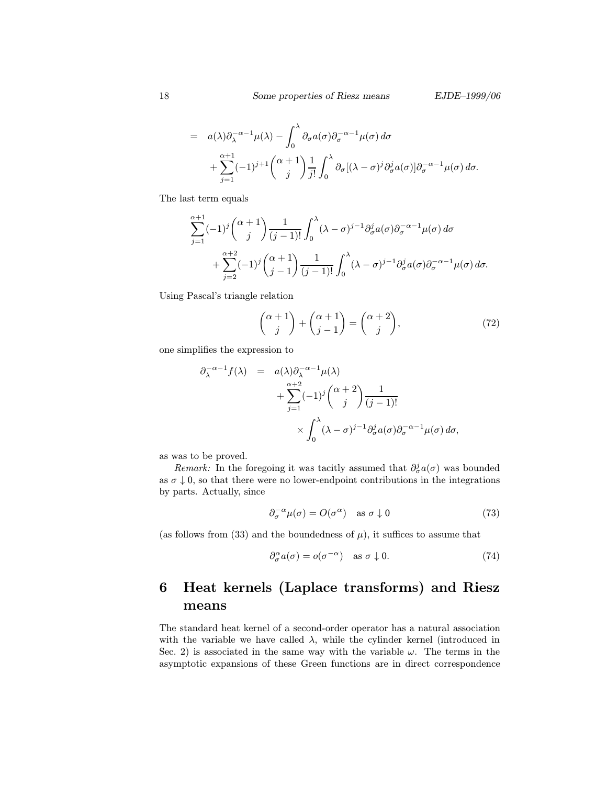$$
= a(\lambda)\partial_{\lambda}^{-\alpha-1}\mu(\lambda) - \int_0^{\lambda} \partial_{\sigma}a(\sigma)\partial_{\sigma}^{-\alpha-1}\mu(\sigma) d\sigma
$$
  
+ 
$$
\sum_{j=1}^{\alpha+1} (-1)^{j+1} {\alpha+1 \choose j} \frac{1}{j!} \int_0^{\lambda} \partial_{\sigma} [(\lambda-\sigma)^j \partial_{\sigma}^j a(\sigma)] \partial_{\sigma}^{-\alpha-1}\mu(\sigma) d\sigma.
$$

The last term equals

$$
\sum_{j=1}^{\alpha+1}(-1)^j {\alpha+1 \choose j}\frac{1}{(j-1)!}\int_0^{\lambda}(\lambda-\sigma)^{j-1}\partial_{\sigma}^j a(\sigma)\partial_{\sigma}^{-\alpha-1}\mu(\sigma)\,d\sigma +\sum_{j=2}^{\alpha+2}(-1)^j {\alpha+1 \choose j-1}\frac{1}{(j-1)!}\int_0^{\lambda}(\lambda-\sigma)^{j-1}\partial_{\sigma}^j a(\sigma)\partial_{\sigma}^{-\alpha-1}\mu(\sigma)\,d\sigma.
$$

Using Pascal's triangle relation

$$
\binom{\alpha+1}{j} + \binom{\alpha+1}{j-1} = \binom{\alpha+2}{j},\tag{72}
$$

one simplifies the expression to

$$
\partial_{\lambda}^{-\alpha-1} f(\lambda) = a(\lambda) \partial_{\lambda}^{-\alpha-1} \mu(\lambda)
$$
  
+ 
$$
\sum_{j=1}^{\alpha+2} (-1)^j {\alpha+2 \choose j} \frac{1}{(j-1)!}
$$
  
 
$$
\times \int_0^{\lambda} (\lambda - \sigma)^{j-1} \partial_{\sigma}^j a(\sigma) \partial_{\sigma}^{-\alpha-1} \mu(\sigma) d\sigma,
$$

as was to be proved.

*Remark:* In the foregoing it was tacitly assumed that  $\partial_{\sigma}^{j} a(\sigma)$  was bounded as  $\sigma \downarrow 0$ , so that there were no lower-endpoint contributions in the integrations by parts. Actually, since

$$
\partial_{\sigma}^{-\alpha} \mu(\sigma) = O(\sigma^{\alpha}) \quad \text{as } \sigma \downarrow 0 \tag{73}
$$

(as follows from (33) and the boundedness of  $\mu$ ), it suffices to assume that

$$
\partial_{\sigma}^{\alpha} a(\sigma) = o(\sigma^{-\alpha}) \quad \text{as } \sigma \downarrow 0. \tag{74}
$$

# 6 Heat kernels (Laplace transforms) and Riesz means

The standard heat kernel of a second-order operator has a natural association with the variable we have called  $\lambda$ , while the cylinder kernel (introduced in Sec. 2) is associated in the same way with the variable  $\omega$ . The terms in the asymptotic expansions of these Green functions are in direct correspondence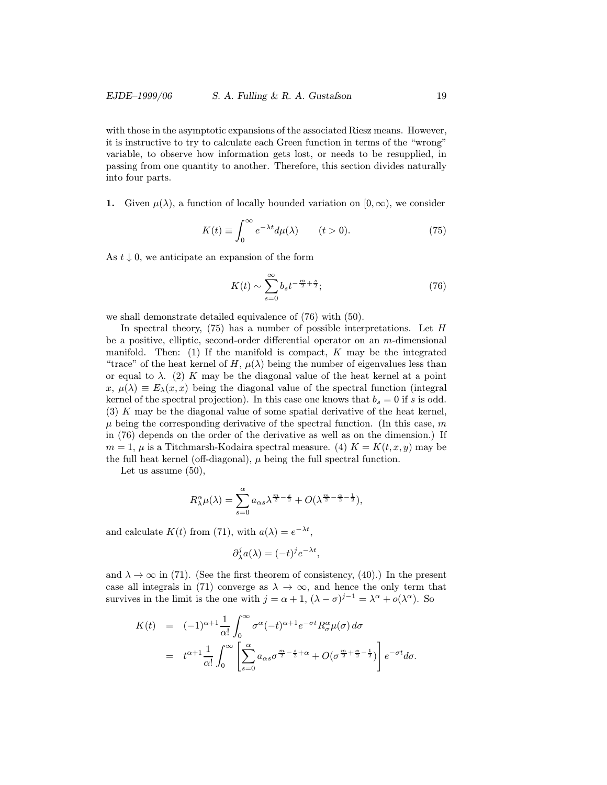with those in the asymptotic expansions of the associated Riesz means. However, it is instructive to try to calculate each Green function in terms of the "wrong" variable, to observe how information gets lost, or needs to be resupplied, in passing from one quantity to another. Therefore, this section divides naturally into four parts.

1. Given  $\mu(\lambda)$ , a function of locally bounded variation on  $[0,\infty)$ , we consider

$$
K(t) \equiv \int_0^\infty e^{-\lambda t} d\mu(\lambda) \qquad (t > 0). \tag{75}
$$

As  $t \downarrow 0$ , we anticipate an expansion of the form

$$
K(t) \sim \sum_{s=0}^{\infty} b_s t^{-\frac{m}{2} + \frac{s}{2}}; \tag{76}
$$

we shall demonstrate detailed equivalence of (76) with (50).

In spectral theory, (75) has a number of possible interpretations. Let H be a positive, elliptic, second-order differential operator on an  $m$ -dimensional manifold. Then: (1) If the manifold is compact,  $K$  may be the integrated "trace" of the heat kernel of H,  $\mu(\lambda)$  being the number of eigenvalues less than or equal to  $\lambda$ . (2) K may be the diagonal value of the heat kernel at a point  $x, \mu(\lambda) \equiv E_{\lambda}(x, x)$  being the diagonal value of the spectral function (integral kernel of the spectral projection). In this case one knows that  $b_s = 0$  if s is odd. (3) K may be the diagonal value of some spatial derivative of the heat kernel,  $\mu$  being the corresponding derivative of the spectral function. (In this case, m in (76) depends on the order of the derivative as well as on the dimension.) If  $m = 1$ ,  $\mu$  is a Titchmarsh-Kodaira spectral measure. (4)  $K = K(t, x, y)$  may be the full heat kernel (off-diagonal),  $\mu$  being the full spectral function.

Let us assume (50),

$$
R_{\lambda}^{\alpha}\mu(\lambda) = \sum_{s=0}^{\alpha} a_{\alpha s} \lambda^{\frac{m}{2} - \frac{s}{2}} + O(\lambda^{\frac{m}{2} - \frac{\alpha}{2} - \frac{1}{2}}),
$$

and calculate  $K(t)$  from (71), with  $a(\lambda) = e^{-\lambda t}$ ,

$$
\partial_\lambda^j a(\lambda) = (-t)^j e^{-\lambda t},
$$

and  $\lambda \to \infty$  in (71). (See the first theorem of consistency, (40).) In the present case all integrals in (71) converge as  $\lambda \to \infty$ , and hence the only term that survives in the limit is the one with  $j = \alpha + 1$ ,  $(\lambda - \sigma)^{j-1} = \lambda^{\alpha} + o(\lambda^{\alpha})$ . So

$$
K(t) = (-1)^{\alpha+1} \frac{1}{\alpha!} \int_0^{\infty} \sigma^{\alpha} (-t)^{\alpha+1} e^{-\sigma t} R_{\sigma}^{\alpha} \mu(\sigma) d\sigma
$$
  
=  $t^{\alpha+1} \frac{1}{\alpha!} \int_0^{\infty} \left[ \sum_{s=0}^{\alpha} a_{\alpha s} \sigma^{\frac{m}{2} - \frac{s}{2} + \alpha} + O(\sigma^{\frac{m}{2} + \frac{\alpha}{2} - \frac{1}{2}}) \right] e^{-\sigma t} d\sigma.$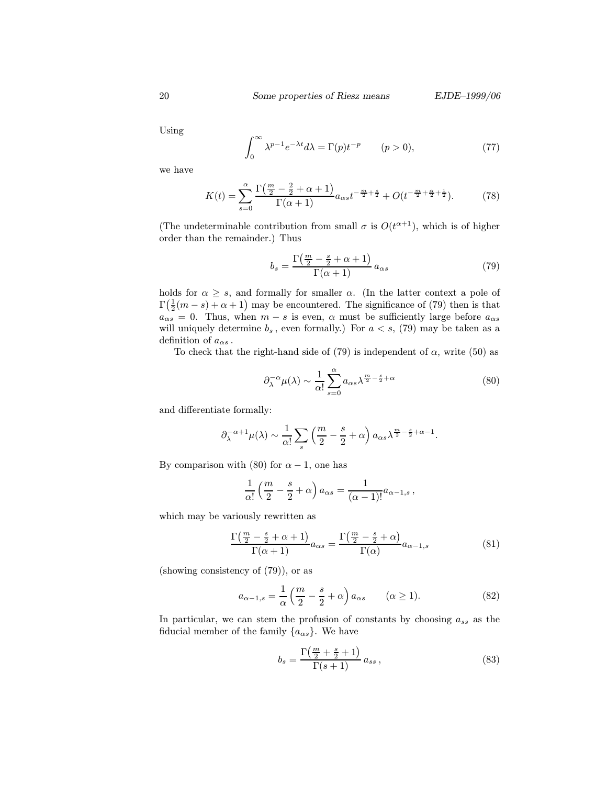Using

$$
\int_0^\infty \lambda^{p-1} e^{-\lambda t} d\lambda = \Gamma(p) t^{-p} \qquad (p > 0),
$$
\n(77)

we have

$$
K(t) = \sum_{s=0}^{\alpha} \frac{\Gamma(\frac{m}{2} - \frac{2}{2} + \alpha + 1)}{\Gamma(\alpha + 1)} a_{\alpha s} t^{-\frac{m}{2} + \frac{s}{2}} + O(t^{-\frac{m}{2} + \frac{\alpha}{2} + \frac{1}{2}}).
$$
 (78)

(The undeterminable contribution from small  $\sigma$  is  $O(t^{\alpha+1})$ , which is of higher order than the remainder.) Thus

$$
b_s = \frac{\Gamma(\frac{m}{2} - \frac{s}{2} + \alpha + 1)}{\Gamma(\alpha + 1)} a_{\alpha s}
$$
\n(79)

holds for  $\alpha \geq s$ , and formally for smaller  $\alpha$ . (In the latter context a pole of  $\Gamma(\frac{1}{2}(m-s)+\alpha+1)$  may be encountered. The significance of (79) then is that  $a_{\alpha s} = 0$ . Thus, when  $m - s$  is even,  $\alpha$  must be sufficiently large before  $a_{\alpha s}$ will uniquely determine  $b_s$ , even formally.) For  $a < s$ , (79) may be taken as a definition of  $a_{\alpha s}$ .

To check that the right-hand side of (79) is independent of  $\alpha$ , write (50) as

$$
\partial_{\lambda}^{-\alpha} \mu(\lambda) \sim \frac{1}{\alpha!} \sum_{s=0}^{\alpha} a_{\alpha s} \lambda^{\frac{m}{2} - \frac{s}{2} + \alpha} \tag{80}
$$

and differentiate formally:

$$
\partial_{\lambda}^{-\alpha+1}\mu(\lambda) \sim \frac{1}{\alpha!} \sum_{s} \left(\frac{m}{2} - \frac{s}{2} + \alpha\right) a_{\alpha s} \lambda^{\frac{m}{2} - \frac{s}{2} + \alpha - 1}.
$$

By comparison with (80) for  $\alpha - 1$ , one has

$$
\frac{1}{\alpha!} \left( \frac{m}{2} - \frac{s}{2} + \alpha \right) a_{\alpha s} = \frac{1}{(\alpha - 1)!} a_{\alpha - 1, s},
$$

which may be variously rewritten as

$$
\frac{\Gamma(\frac{m}{2} - \frac{s}{2} + \alpha + 1)}{\Gamma(\alpha + 1)} a_{\alpha s} = \frac{\Gamma(\frac{m}{2} - \frac{s}{2} + \alpha)}{\Gamma(\alpha)} a_{\alpha - 1, s}
$$
(81)

(showing consistency of (79)), or as

$$
a_{\alpha-1,s} = \frac{1}{\alpha} \left( \frac{m}{2} - \frac{s}{2} + \alpha \right) a_{\alpha s} \qquad (\alpha \ge 1). \tag{82}
$$

In particular, we can stem the profusion of constants by choosing  $a_{ss}$  as the fiducial member of the family  $\{a_{\alpha s}\}\.$  We have

$$
b_s = \frac{\Gamma\left(\frac{m}{2} + \frac{s}{2} + 1\right)}{\Gamma(s+1)} a_{ss} \,,\tag{83}
$$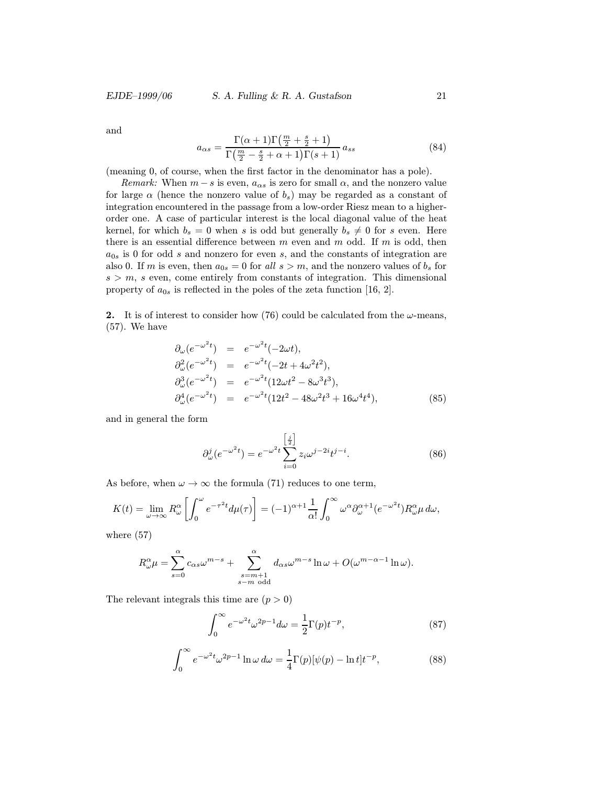and

$$
a_{\alpha s} = \frac{\Gamma(\alpha+1)\Gamma(\frac{m}{2} + \frac{s}{2} + 1)}{\Gamma(\frac{m}{2} - \frac{s}{2} + \alpha + 1)\Gamma(s+1)} a_{ss}
$$
(84)

(meaning 0, of course, when the first factor in the denominator has a pole).

Remark: When  $m - s$  is even,  $a_{\alpha s}$  is zero for small  $\alpha$ , and the nonzero value for large  $\alpha$  (hence the nonzero value of  $b_s$ ) may be regarded as a constant of integration encountered in the passage from a low-order Riesz mean to a higherorder one. A case of particular interest is the local diagonal value of the heat kernel, for which  $b_s = 0$  when s is odd but generally  $b_s \neq 0$  for s even. Here there is an essential difference between  $m$  even and  $m$  odd. If  $m$  is odd, then  $a_{0s}$  is 0 for odd s and nonzero for even s, and the constants of integration are also 0. If m is even, then  $a_{0s} = 0$  for all  $s > m$ , and the nonzero values of  $b_s$  for  $s > m$ , s even, come entirely from constants of integration. This dimensional property of  $a_{0s}$  is reflected in the poles of the zeta function [16, 2].

2. It is of interest to consider how (76) could be calculated from the  $\omega$ -means, (57). We have

$$
\partial_{\omega} (e^{-\omega^2 t}) = e^{-\omega^2 t} (-2\omega t), \n\partial_{\omega}^2 (e^{-\omega^2 t}) = e^{-\omega^2 t} (-2t + 4\omega^2 t^2), \n\partial_{\omega}^3 (e^{-\omega^2 t}) = e^{-\omega^2 t} (12\omega t^2 - 8\omega^3 t^3), \n\partial_{\omega}^4 (e^{-\omega^2 t}) = e^{-\omega^2 t} (12t^2 - 48\omega^2 t^3 + 16\omega^4 t^4),
$$
\n(85)

and in general the form

$$
\partial_{\omega}^{j}(e^{-\omega^{2}t}) = e^{-\omega^{2}t} \sum_{i=0}^{\left[\frac{j}{2}\right]} z_{i} \omega^{j-2i} t^{j-i}.
$$
 (86)

As before, when  $\omega \to \infty$  the formula (71) reduces to one term,

$$
K(t) = \lim_{\omega \to \infty} R_{\omega}^{\alpha} \left[ \int_{0}^{\omega} e^{-\tau^{2}t} d\mu(\tau) \right] = (-1)^{\alpha+1} \frac{1}{\alpha!} \int_{0}^{\infty} \omega^{\alpha} \partial_{\omega}^{\alpha+1} (e^{-\omega^{2}t}) R_{\omega}^{\alpha} \mu d\omega,
$$

where (57)

$$
R^{\alpha}_{\omega}\mu = \sum_{s=0}^{\alpha} c_{\alpha s} \omega^{m-s} + \sum_{\substack{s=m+1 \ s-m \text{ odd}}}^{\alpha} d_{\alpha s} \omega^{m-s} \ln \omega + O(\omega^{m-\alpha-1} \ln \omega).
$$

The relevant integrals this time are  $(p > 0)$ 

$$
\int_0^\infty e^{-\omega^2 t} \omega^{2p-1} d\omega = \frac{1}{2} \Gamma(p) t^{-p},\tag{87}
$$

$$
\int_0^\infty e^{-\omega^2 t} \omega^{2p-1} \ln \omega \, d\omega = \frac{1}{4} \Gamma(p) [\psi(p) - \ln t] t^{-p},\tag{88}
$$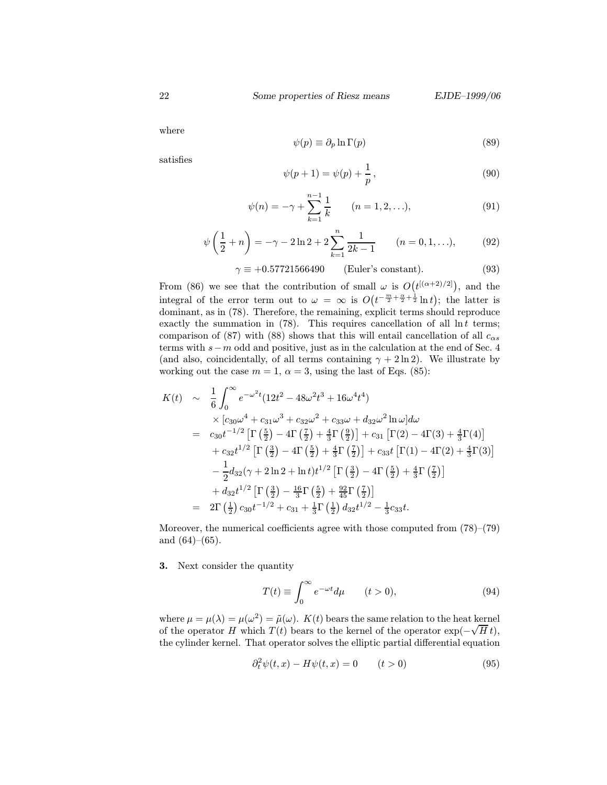where

$$
\psi(p) \equiv \partial_p \ln \Gamma(p) \tag{89}
$$

satisfies

$$
\psi(p+1) = \psi(p) + \frac{1}{p},
$$
\n(90)

$$
\psi(n) = -\gamma + \sum_{k=1}^{n-1} \frac{1}{k} \qquad (n = 1, 2, \ldots), \tag{91}
$$

$$
\psi\left(\frac{1}{2} + n\right) = -\gamma - 2\ln 2 + 2\sum_{k=1}^{n} \frac{1}{2k - 1} \qquad (n = 0, 1, \ldots), \tag{92}
$$

$$
\gamma \equiv +0.57721566490 \qquad \text{(Euler's constant)}.\tag{93}
$$

From (86) we see that the contribution of small  $\omega$  is  $O(t^{[(\alpha+2)/2]}),$  and the integral of the error term out to  $\omega = \infty$  is  $O(t^{-\frac{m}{2} + \frac{\alpha}{2} + \frac{1}{2}} \ln t)$ ; the latter is dominant, as in (78). Therefore, the remaining, explicit terms should reproduce exactly the summation in  $(78)$ . This requires cancellation of all  $\ln t$  terms; comparison of (87) with (88) shows that this will entail cancellation of all  $c_{\alpha s}$ terms with s−m odd and positive, just as in the calculation at the end of Sec. 4 (and also, coincidentally, of all terms containing  $\gamma + 2 \ln 2$ ). We illustrate by working out the case  $m = 1$ ,  $\alpha = 3$ , using the last of Eqs. (85):

$$
K(t) \sim \frac{1}{6} \int_0^{\infty} e^{-\omega^2 t} (12t^2 - 48\omega^2 t^3 + 16\omega^4 t^4)
$$
  
\n
$$
\times [c_{30}\omega^4 + c_{31}\omega^3 + c_{32}\omega^2 + c_{33}\omega + d_{32}\omega^2 \ln \omega] d\omega
$$
  
\n
$$
= c_{30}t^{-1/2} \left[ \Gamma\left(\frac{5}{2}\right) - 4\Gamma\left(\frac{7}{2}\right) + \frac{4}{3}\Gamma\left(\frac{9}{2}\right) \right] + c_{31} \left[ \Gamma(2) - 4\Gamma(3) + \frac{4}{3}\Gamma(4) \right]
$$
  
\n
$$
+ c_{32}t^{1/2} \left[ \Gamma\left(\frac{3}{2}\right) - 4\Gamma\left(\frac{5}{2}\right) + \frac{4}{3}\Gamma\left(\frac{7}{2}\right) \right] + c_{33}t \left[ \Gamma(1) - 4\Gamma(2) + \frac{4}{3}\Gamma(3) \right]
$$
  
\n
$$
- \frac{1}{2}d_{32}(\gamma + 2\ln 2 + \ln t)t^{1/2} \left[ \Gamma\left(\frac{3}{2}\right) - 4\Gamma\left(\frac{5}{2}\right) + \frac{4}{3}\Gamma\left(\frac{7}{2}\right) \right]
$$
  
\n
$$
+ d_{32}t^{1/2} \left[ \Gamma\left(\frac{3}{2}\right) - \frac{16}{3}\Gamma\left(\frac{5}{2}\right) + \frac{92}{45}\Gamma\left(\frac{7}{2}\right) \right]
$$
  
\n
$$
= 2\Gamma\left(\frac{1}{2}\right)c_{30}t^{-1/2} + c_{31} + \frac{1}{3}\Gamma\left(\frac{1}{2}\right)d_{32}t^{1/2} - \frac{1}{3}c_{33}t.
$$

Moreover, the numerical coefficients agree with those computed from (78)–(79) and  $(64)–(65)$ .

#### 3. Next consider the quantity

$$
T(t) \equiv \int_0^\infty e^{-\omega t} d\mu \qquad (t > 0),
$$
\n(94)

where  $\mu = \mu(\lambda) = \mu(\omega^2) = \tilde{\mu}(\omega)$ .  $K(t)$  bears the same relation to the heat kernel of the operator H which  $T(t)$  bears to the kernel of the operator  $\exp(-\sqrt{H} t)$ , the cylinder kernel. That operator solves the elliptic partial differential equation

$$
\partial_t^2 \psi(t, x) - H\psi(t, x) = 0 \qquad (t > 0)
$$
\n(95)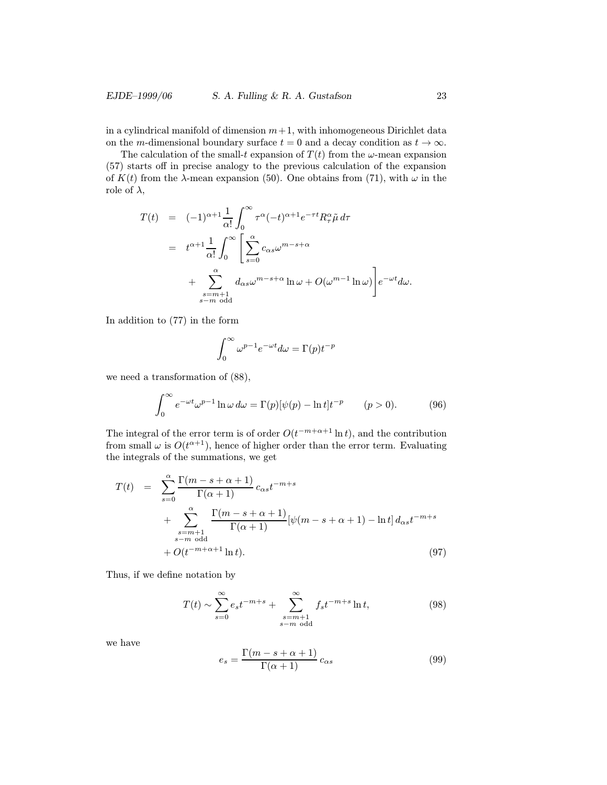in a cylindrical manifold of dimension  $m+1$ , with inhomogeneous Dirichlet data on the m-dimensional boundary surface  $t = 0$  and a decay condition as  $t \to \infty$ .

The calculation of the small-t expansion of  $T(t)$  from the  $\omega$ -mean expansion (57) starts off in precise analogy to the previous calculation of the expansion of  $K(t)$  from the  $\lambda$ -mean expansion (50). One obtains from (71), with  $\omega$  in the role of  $\lambda$ ,

$$
T(t) = (-1)^{\alpha+1} \frac{1}{\alpha!} \int_0^{\infty} \tau^{\alpha} (-t)^{\alpha+1} e^{-\tau t} R_{\tau}^{\alpha} \tilde{\mu} d\tau
$$
  

$$
= t^{\alpha+1} \frac{1}{\alpha!} \int_0^{\infty} \left[ \sum_{s=0}^{\alpha} c_{\alpha s} \omega^{m-s+\alpha} + \sum_{\substack{s=m+1 \ s-m \text{ odd}}}^{\alpha} d_{\alpha s} \omega^{m-s+\alpha} \ln \omega + O(\omega^{m-1} \ln \omega) \right] e^{-\omega t} d\omega.
$$

In addition to (77) in the form

$$
\int_0^\infty \omega^{p-1} e^{-\omega t} d\omega = \Gamma(p) t^{-p}
$$

we need a transformation of (88),

$$
\int_0^\infty e^{-\omega t} \omega^{p-1} \ln \omega \, d\omega = \Gamma(p) [\psi(p) - \ln t] t^{-p} \qquad (p > 0). \tag{96}
$$

The integral of the error term is of order  $O(t^{-m+\alpha+1} \ln t)$ , and the contribution from small  $\omega$  is  $O(t^{\alpha+1})$ , hence of higher order than the error term. Evaluating the integrals of the summations, we get

$$
T(t) = \sum_{s=0}^{\alpha} \frac{\Gamma(m-s+\alpha+1)}{\Gamma(\alpha+1)} c_{\alpha s} t^{-m+s}
$$
  
+ 
$$
\sum_{\substack{s=m+1 \ s-m \text{ odd}}}^{\alpha} \frac{\Gamma(m-s+\alpha+1)}{\Gamma(\alpha+1)} [\psi(m-s+\alpha+1) - \ln t] d_{\alpha s} t^{-m+s}
$$
  
+ 
$$
O(t^{-m+\alpha+1} \ln t).
$$
 (97)

Thus, if we define notation by

$$
T(t) \sim \sum_{s=0}^{\infty} e_s t^{-m+s} + \sum_{\substack{s=m+1\\s-m \text{ odd}}}^{\infty} f_s t^{-m+s} \ln t,
$$
 (98)

we have

$$
e_s = \frac{\Gamma(m - s + \alpha + 1)}{\Gamma(\alpha + 1)} c_{\alpha s}
$$
\n(99)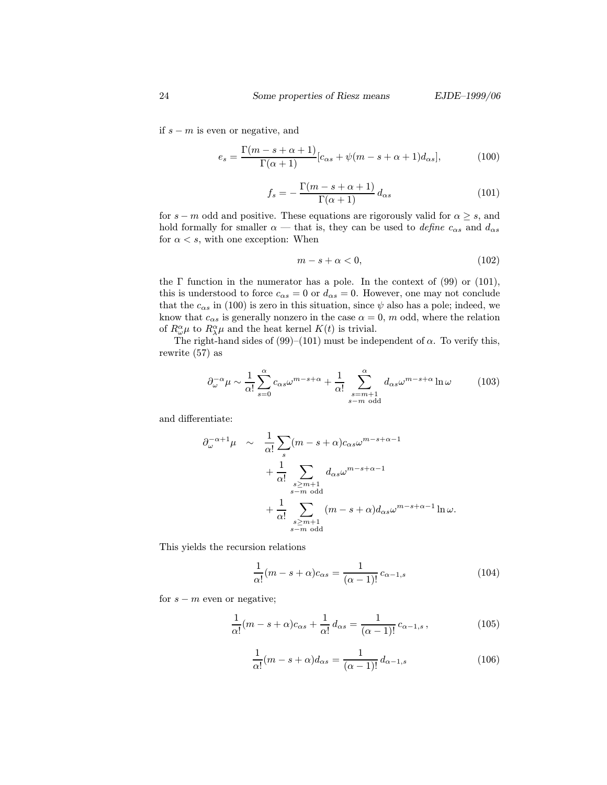if  $s - m$  is even or negative, and

$$
e_s = \frac{\Gamma(m - s + \alpha + 1)}{\Gamma(\alpha + 1)} [c_{\alpha s} + \psi(m - s + \alpha + 1)d_{\alpha s}], \tag{100}
$$

$$
f_s = -\frac{\Gamma(m - s + \alpha + 1)}{\Gamma(\alpha + 1)} d_{\alpha s}
$$
\n(101)

for  $s - m$  odd and positive. These equations are rigorously valid for  $\alpha \geq s$ , and hold formally for smaller  $\alpha$  — that is, they can be used to *define*  $c_{\alpha s}$  and  $d_{\alpha s}$ for  $\alpha < s$ , with one exception: When

$$
m - s + \alpha < 0,\tag{102}
$$

the  $\Gamma$  function in the numerator has a pole. In the context of (99) or (101), this is understood to force  $c_{\alpha s} = 0$  or  $d_{\alpha s} = 0$ . However, one may not conclude that the  $c_{\alpha s}$  in (100) is zero in this situation, since  $\psi$  also has a pole; indeed, we know that  $c_{\alpha s}$  is generally nonzero in the case  $\alpha = 0$ , m odd, where the relation of  $R^{\alpha}_{\omega}\mu$  to  $R^{\alpha}_{\lambda}\mu$  and the heat kernel  $K(t)$  is trivial.

The right-hand sides of (99)–(101) must be independent of  $\alpha$ . To verify this, rewrite (57) as

$$
\partial_{\omega}^{-\alpha} \mu \sim \frac{1}{\alpha!} \sum_{s=0}^{\alpha} c_{\alpha s} \omega^{m-s+\alpha} + \frac{1}{\alpha!} \sum_{\substack{s=m+1 \ s-m \text{ odd}}}^{\alpha} d_{\alpha s} \omega^{m-s+\alpha} \ln \omega \tag{103}
$$

and differentiate:

$$
\partial_{\omega}^{-\alpha+1}\mu \sim \frac{1}{\alpha!} \sum_{s} (m-s+\alpha)c_{\alpha s} \omega^{m-s+\alpha-1} \n+ \frac{1}{\alpha!} \sum_{\substack{s \ge m+1 \\ s-m \text{ odd}}} d_{\alpha s} \omega^{m-s+\alpha-1} \n+ \frac{1}{\alpha!} \sum_{\substack{s \ge m+1 \\ s-m \text{ odd}}} (m-s+\alpha)d_{\alpha s} \omega^{m-s+\alpha-1} \ln \omega.
$$

This yields the recursion relations

$$
\frac{1}{\alpha!}(m-s+\alpha)c_{\alpha s} = \frac{1}{(\alpha-1)!}c_{\alpha-1,s}
$$
\n(104)

for  $s - m$  even or negative;

$$
\frac{1}{\alpha!}(m-s+\alpha)c_{\alpha s} + \frac{1}{\alpha!}d_{\alpha s} = \frac{1}{(\alpha-1)!}c_{\alpha-1,s},\qquad(105)
$$

$$
\frac{1}{\alpha!}(m-s+\alpha)d_{\alpha s} = \frac{1}{(\alpha-1)!}d_{\alpha-1,s}
$$
\n(106)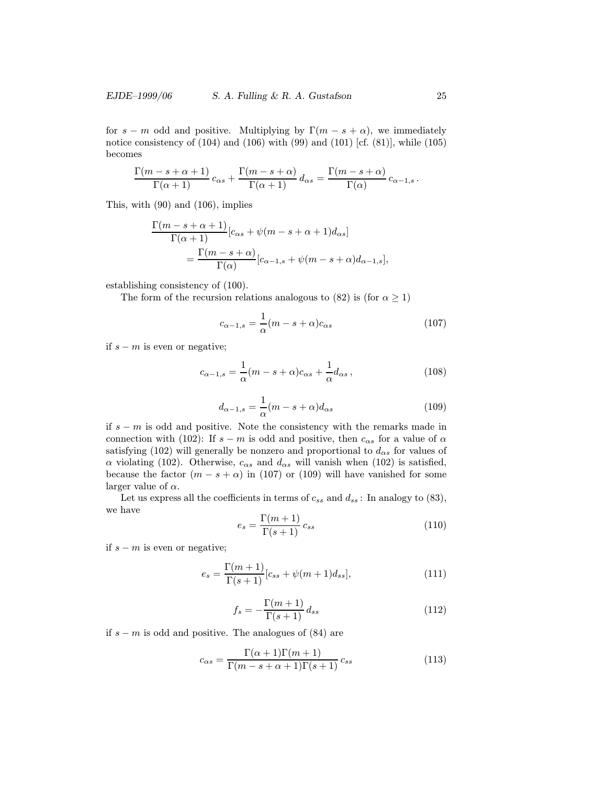for  $s - m$  odd and positive. Multiplying by  $\Gamma(m - s + \alpha)$ , we immediately notice consistency of  $(104)$  and  $(106)$  with  $(99)$  and  $(101)$  [cf.  $(81)$ ], while  $(105)$ becomes

$$
\frac{\Gamma(m-s+\alpha+1)}{\Gamma(\alpha+1)} c_{\alpha s} + \frac{\Gamma(m-s+\alpha)}{\Gamma(\alpha+1)} d_{\alpha s} = \frac{\Gamma(m-s+\alpha)}{\Gamma(\alpha)} c_{\alpha-1,s}.
$$

This, with (90) and (106), implies

$$
\frac{\Gamma(m-s+\alpha+1)}{\Gamma(\alpha+1)}[c_{\alpha s} + \psi(m-s+\alpha+1)d_{\alpha s}]
$$
  
= 
$$
\frac{\Gamma(m-s+\alpha)}{\Gamma(\alpha)}[c_{\alpha-1,s} + \psi(m-s+\alpha)d_{\alpha-1,s}],
$$

establishing consistency of (100).

The form of the recursion relations analogous to (82) is (for  $\alpha \geq 1$ )

$$
c_{\alpha-1,s} = \frac{1}{\alpha}(m - s + \alpha)c_{\alpha s}
$$
 (107)

if  $s − m$  is even or negative;

$$
c_{\alpha-1,s} = \frac{1}{\alpha}(m - s + \alpha)c_{\alpha s} + \frac{1}{\alpha}d_{\alpha s},
$$
\n(108)

$$
d_{\alpha-1,s} = \frac{1}{\alpha}(m - s + \alpha)d_{\alpha s}
$$
\n(109)

if  $s - m$  is odd and positive. Note the consistency with the remarks made in connection with (102): If  $s - m$  is odd and positive, then  $c_{\alpha s}$  for a value of  $\alpha$ satisfying (102) will generally be nonzero and proportional to  $d_{\alpha s}$  for values of α violating (102). Otherwise,  $c_{\alpha s}$  and  $d_{\alpha s}$  will vanish when (102) is satisfied, because the factor  $(m - s + \alpha)$  in (107) or (109) will have vanished for some larger value of  $\alpha$ .

Let us express all the coefficients in terms of  $c_{ss}$  and  $d_{ss}$ : In analogy to (83), we have

$$
e_s = \frac{\Gamma(m+1)}{\Gamma(s+1)} c_{ss} \tag{110}
$$

if  $s − m$  is even or negative;

$$
e_s = \frac{\Gamma(m+1)}{\Gamma(s+1)} [c_{ss} + \psi(m+1)d_{ss}],
$$
\n(111)

$$
f_s = -\frac{\Gamma(m+1)}{\Gamma(s+1)} d_{ss} \tag{112}
$$

if s − m is odd and positive. The analogues of (84) are

$$
c_{\alpha s} = \frac{\Gamma(\alpha + 1)\Gamma(m + 1)}{\Gamma(m - s + \alpha + 1)\Gamma(s + 1)} c_{ss}
$$
\n(113)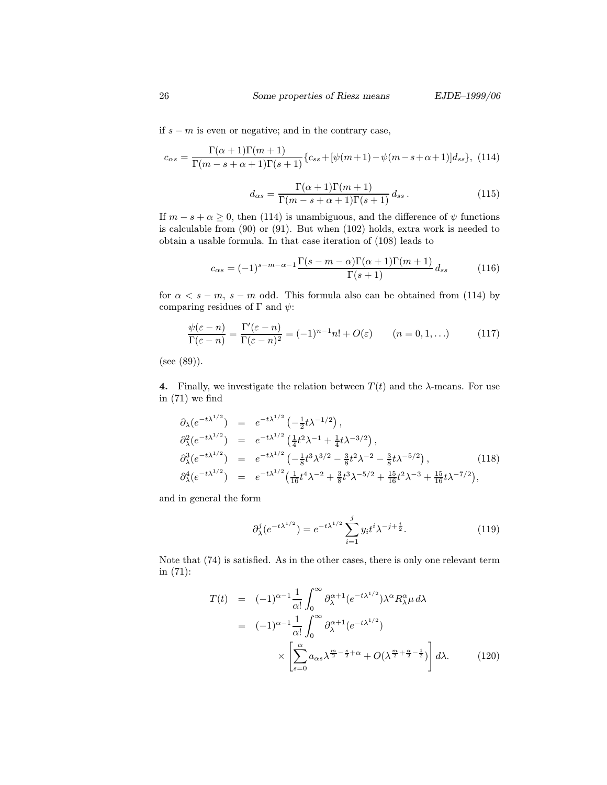if s − m is even or negative; and in the contrary case,

$$
c_{\alpha s} = \frac{\Gamma(\alpha+1)\Gamma(m+1)}{\Gamma(m-s+\alpha+1)\Gamma(s+1)} \{c_{ss} + [\psi(m+1) - \psi(m-s+\alpha+1)]d_{ss}\},
$$
 (114)

$$
d_{\alpha s} = \frac{\Gamma(\alpha+1)\Gamma(m+1)}{\Gamma(m-s+\alpha+1)\Gamma(s+1)} d_{ss}.
$$
\n(115)

If  $m - s + \alpha \geq 0$ , then (114) is unambiguous, and the difference of  $\psi$  functions is calculable from (90) or (91). But when (102) holds, extra work is needed to obtain a usable formula. In that case iteration of (108) leads to

$$
c_{\alpha s} = (-1)^{s-m-\alpha-1} \frac{\Gamma(s-m-\alpha)\Gamma(\alpha+1)\Gamma(m+1)}{\Gamma(s+1)} d_{ss}
$$
 (116)

for  $\alpha < s - m$ , s – m odd. This formula also can be obtained from (114) by comparing residues of  $\Gamma$  and  $\psi$ :

$$
\frac{\psi(\varepsilon - n)}{\Gamma(\varepsilon - n)} = \frac{\Gamma'(\varepsilon - n)}{\Gamma(\varepsilon - n)^2} = (-1)^{n-1} n! + O(\varepsilon) \qquad (n = 0, 1, \ldots)
$$
\n(117)

(see (89)).

4. Finally, we investigate the relation between  $T(t)$  and the  $\lambda$ -means. For use in (71) we find

$$
\partial_{\lambda} (e^{-t\lambda^{1/2}}) = e^{-t\lambda^{1/2}} \left(-\frac{1}{2}t\lambda^{-1/2}\right),
$$
\n
$$
\partial_{\lambda}^{2} (e^{-t\lambda^{1/2}}) = e^{-t\lambda^{1/2}} \left(\frac{1}{4}t^{2}\lambda^{-1} + \frac{1}{4}t\lambda^{-3/2}\right),
$$
\n
$$
\partial_{\lambda}^{3} (e^{-t\lambda^{1/2}}) = e^{-t\lambda^{1/2}} \left(-\frac{1}{8}t^{3}\lambda^{3/2} - \frac{3}{8}t^{2}\lambda^{-2} - \frac{3}{8}t\lambda^{-5/2}\right),
$$
\n
$$
\partial_{\lambda}^{4} (e^{-t\lambda^{1/2}}) = e^{-t\lambda^{1/2}} \left(\frac{1}{16}t^{4}\lambda^{-2} + \frac{3}{8}t^{3}\lambda^{-5/2} + \frac{15}{16}t^{2}\lambda^{-3} + \frac{15}{16}t\lambda^{-7/2}\right),
$$
\n(118)

and in general the form

$$
\partial_{\lambda}^{j} (e^{-t\lambda^{1/2}}) = e^{-t\lambda^{1/2}} \sum_{i=1}^{j} y_{i} t^{i} \lambda^{-j + \frac{i}{2}}.
$$
 (119)

Note that (74) is satisfied. As in the other cases, there is only one relevant term in (71):

$$
T(t) = (-1)^{\alpha - 1} \frac{1}{\alpha!} \int_0^{\infty} \partial_{\lambda}^{\alpha+1} (e^{-t\lambda^{1/2}}) \lambda^{\alpha} R_{\lambda}^{\alpha} \mu \, d\lambda
$$
  

$$
= (-1)^{\alpha - 1} \frac{1}{\alpha!} \int_0^{\infty} \partial_{\lambda}^{\alpha+1} (e^{-t\lambda^{1/2}})
$$

$$
\times \left[ \sum_{s=0}^{\alpha} a_{\alpha s} \lambda^{\frac{m}{2} - \frac{s}{2} + \alpha} + O(\lambda^{\frac{m}{2} + \frac{\alpha}{2} - \frac{1}{2}}) \right] d\lambda. \tag{120}
$$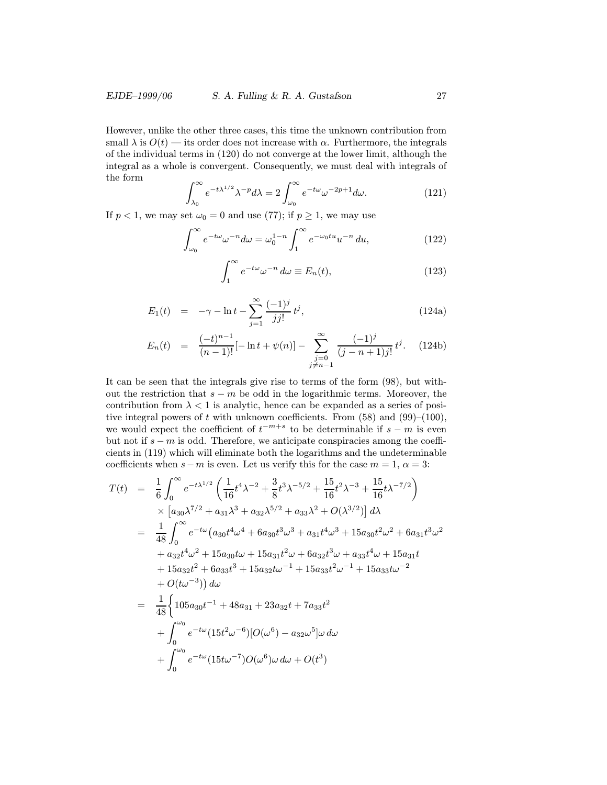However, unlike the other three cases, this time the unknown contribution from small  $\lambda$  is  $O(t)$  — its order does not increase with  $\alpha$ . Furthermore, the integrals of the individual terms in (120) do not converge at the lower limit, although the integral as a whole is convergent. Consequently, we must deal with integrals of the form

$$
\int_{\lambda_0}^{\infty} e^{-t\lambda^{1/2}} \lambda^{-p} d\lambda = 2 \int_{\omega_0}^{\infty} e^{-t\omega} \omega^{-2p+1} d\omega.
$$
 (121)

If  $p < 1$ , we may set  $\omega_0 = 0$  and use (77); if  $p \ge 1$ , we may use

$$
\int_{\omega_0}^{\infty} e^{-t\omega} \omega^{-n} d\omega = \omega_0^{1-n} \int_1^{\infty} e^{-\omega_0 t u} u^{-n} du,
$$
\n(122)

$$
\int_{1}^{\infty} e^{-t\omega} \omega^{-n} d\omega \equiv E_n(t), \tag{123}
$$

$$
E_1(t) = -\gamma - \ln t - \sum_{j=1}^{\infty} \frac{(-1)^j}{jj!} t^j,
$$
 (124a)

$$
E_n(t) = \frac{(-t)^{n-1}}{(n-1)!}[-\ln t + \psi(n)] - \sum_{\substack{j=0 \ j \neq n-1}}^{\infty} \frac{(-1)^j}{(j-n+1)j!} t^j. \tag{124b}
$$

It can be seen that the integrals give rise to terms of the form (98), but without the restriction that  $s - m$  be odd in the logarithmic terms. Moreover, the contribution from  $\lambda < 1$  is analytic, hence can be expanded as a series of positive integral powers of t with unknown coefficients. From  $(58)$  and  $(99)-(100)$ , we would expect the coefficient of  $t^{-m+s}$  to be determinable if  $s - m$  is even but not if  $s - m$  is odd. Therefore, we anticipate conspiracies among the coefficients in (119) which will eliminate both the logarithms and the undeterminable coefficients when  $s-m$  is even. Let us verify this for the case  $m=1, \alpha=3$ :

$$
T(t) = \frac{1}{6} \int_0^{\infty} e^{-t\lambda^{1/2}} \left( \frac{1}{16} t^4 \lambda^{-2} + \frac{3}{8} t^3 \lambda^{-5/2} + \frac{15}{16} t^2 \lambda^{-3} + \frac{15}{16} t \lambda^{-7/2} \right) \times \left[ a_{30} \lambda^{7/2} + a_{31} \lambda^3 + a_{32} \lambda^{5/2} + a_{33} \lambda^2 + O(\lambda^{3/2}) \right] d\lambda = \frac{1}{48} \int_0^{\infty} e^{-t\omega} \left( a_{30} t^4 \omega^4 + 6 a_{30} t^3 \omega^3 + a_{31} t^4 \omega^3 + 15 a_{30} t^2 \omega^2 + 6 a_{31} t^3 \omega^2 \right. + a_{32} t^4 \omega^2 + 15 a_{30} t \omega + 15 a_{31} t^2 \omega + 6 a_{32} t^3 \omega + a_{33} t^4 \omega + 15 a_{31} t + 15 a_{32} t^2 + 6 a_{33} t^3 + 15 a_{32} t \omega^{-1} + 15 a_{33} t^2 \omega^{-1} + 15 a_{33} t \omega^{-2} + O(t\omega^{-3}) \right) d\omega = \frac{1}{48} \left\{ 105 a_{30} t^{-1} + 48 a_{31} + 23 a_{32} t + 7 a_{33} t^2 + \int_0^{\omega_0} e^{-t\omega} (15 t^2 \omega^{-6}) [O(\omega^6) - a_{32} \omega^5] \omega \, d\omega + \int_0^{\omega_0} e^{-t\omega} (15 t \omega^{-7}) O(\omega^6) \omega \, d\omega + O(t^3)
$$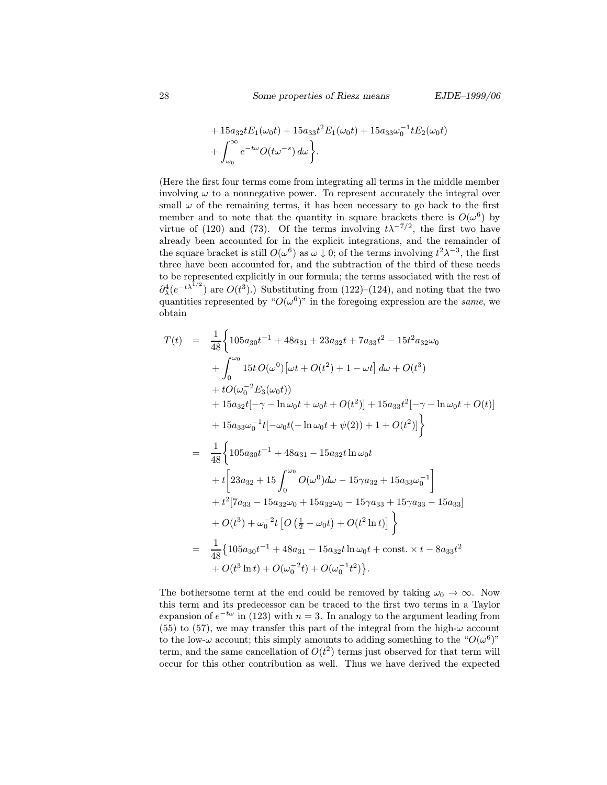+ 
$$
15a_{32}tE_1(\omega_0 t) + 15a_{33}t^2E_1(\omega_0 t) + 15a_{33}\omega_0^{-1}tE_2(\omega_0 t)
$$
  
+  $\int_{\omega_0}^{\infty} e^{-t\omega}O(t\omega^{-s}) d\omega$ .

(Here the first four terms come from integrating all terms in the middle member involving  $\omega$  to a nonnegative power. To represent accurately the integral over small  $\omega$  of the remaining terms, it has been necessary to go back to the first member and to note that the quantity in square brackets there is  $O(\omega^6)$  by virtue of (120) and (73). Of the terms involving  $t\lambda^{-7/2}$ , the first two have already been accounted for in the explicit integrations, and the remainder of the square bracket is still  $O(\omega^6)$  as  $\omega \downarrow 0$ ; of the terms involving  $t^2 \lambda^{-3}$ , the first three have been accounted for, and the subtraction of the third of these needs to be represented explicitly in our formula; the terms associated with the rest of  $\partial_{\lambda}^{4}(e^{-t\lambda^{1/2}})$  are  $O(t^3)$ .) Substituting from (122)–(124), and noting that the two quantities represented by " $O(\omega^6)$ " in the foregoing expression are the *same*, we obtain

$$
T(t) = \frac{1}{48} \Biggl\{ 105a_{30}t^{-1} + 48a_{31} + 23a_{32}t + 7a_{33}t^2 - 15t^2a_{32}\omega_0 + \int_0^{\omega_0} 15t O(\omega^0)[\omega t + O(t^2) + 1 - \omega t] d\omega + O(t^3) + tO(\omega_0^{-2}E_3(\omega_0 t)) + 15a_{32}t[-\gamma - \ln \omega_0 t + \omega_0 t + O(t^2)] + 15a_{33}t^2[-\gamma - \ln \omega_0 t + O(t)] + 15a_{33}\omega_0^{-1}t[-\omega_0 t(-\ln \omega_0 t + \psi(2)) + 1 + O(t^2)] \Biggr\} = \frac{1}{48} \Biggl\{ 105a_{30}t^{-1} + 48a_{31} - 15a_{32}t\ln \omega_0 t + t\Biggl[ 23a_{32} + 15 \int_0^{\omega_0} O(\omega^0) d\omega - 15\gamma a_{32} + 15a_{33}\omega_0^{-1} \Biggr] + t^2[7a_{33} - 15a_{32}\omega_0 + 15a_{32}\omega_0 - 15\gamma a_{33} + 15\gamma a_{33} - 15a_{33}] + O(t^3) + \omega_0^{-2}t \Biggl[ O(\frac{1}{2} - \omega_0 t) + O(t^2 \ln t) \Biggr] \Biggr\} = \frac{1}{48} \Biggl\{ 105a_{30}t^{-1} + 48a_{31} - 15a_{32}t\ln \omega_0 t + \text{const.} \times t - 8a_{33}t^2 + O(t^3 \ln t) + O(\omega_0^{-2}t) + O(\omega_0^{-1}t^2) \Biggr\}.
$$

The bothersome term at the end could be removed by taking  $\omega_0 \to \infty$ . Now this term and its predecessor can be traced to the first two terms in a Taylor expansion of  $e^{-t\omega}$  in (123) with  $n = 3$ . In analogy to the argument leading from (55) to (57), we may transfer this part of the integral from the high- $\omega$  account to the low- $\omega$  account; this simply amounts to adding something to the " $O(\omega^6)$ " term, and the same cancellation of  $O(t^2)$  terms just observed for that term will occur for this other contribution as well. Thus we have derived the expected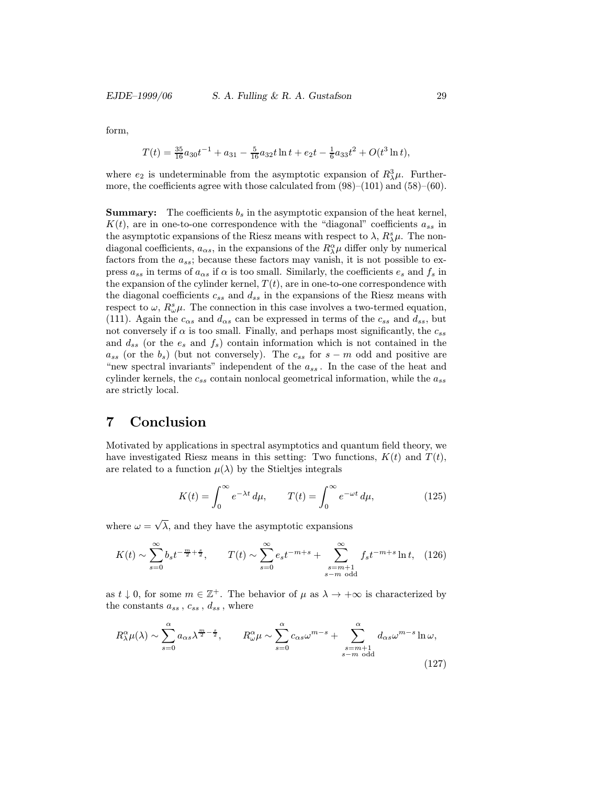form,

$$
T(t) = \frac{35}{16}a_{30}t^{-1} + a_{31} - \frac{5}{16}a_{32}t\ln t + e_2t - \frac{1}{6}a_{33}t^2 + O(t^3\ln t),
$$

where  $e_2$  is undeterminable from the asymptotic expansion of  $R_\lambda^3 \mu$ . Furthermore, the coefficients agree with those calculated from  $(98)$ – $(101)$  and  $(58)$ – $(60)$ .

**Summary:** The coefficients  $b_s$  in the asymptotic expansion of the heat kernel,  $K(t)$ , are in one-to-one correspondence with the "diagonal" coefficients  $a_{ss}$  in the asymptotic expansions of the Riesz means with respect to  $\lambda$ ,  $R_{\lambda}^{s}\mu$ . The nondiagonal coefficients,  $a_{\alpha s}$ , in the expansions of the  $R^{\alpha}_{\lambda} \mu$  differ only by numerical factors from the  $a_{ss}$ ; because these factors may vanish, it is not possible to express  $a_{ss}$  in terms of  $a_{\alpha s}$  if  $\alpha$  is too small. Similarly, the coefficients  $e_s$  and  $f_s$  in the expansion of the cylinder kernel,  $T(t)$ , are in one-to-one correspondence with the diagonal coefficients  $c_{ss}$  and  $d_{ss}$  in the expansions of the Riesz means with respect to  $\omega$ ,  $R^s_{\omega}\mu$ . The connection in this case involves a two-termed equation, (111). Again the  $c_{\alpha s}$  and  $d_{\alpha s}$  can be expressed in terms of the  $c_{ss}$  and  $d_{ss}$ , but not conversely if  $\alpha$  is too small. Finally, and perhaps most significantly, the  $c_{ss}$ and  $d_{ss}$  (or the  $e_s$  and  $f_s$ ) contain information which is not contained in the  $a_{ss}$  (or the  $b_s$ ) (but not conversely). The  $c_{ss}$  for  $s - m$  odd and positive are "new spectral invariants" independent of the  $a_{ss}$ . In the case of the heat and cylinder kernels, the  $c_{ss}$  contain nonlocal geometrical information, while the  $a_{ss}$ are strictly local.

### 7 Conclusion

Motivated by applications in spectral asymptotics and quantum field theory, we have investigated Riesz means in this setting: Two functions,  $K(t)$  and  $T(t)$ , are related to a function  $\mu(\lambda)$  by the Stieltjes integrals

$$
K(t) = \int_0^\infty e^{-\lambda t} \, d\mu, \qquad T(t) = \int_0^\infty e^{-\omega t} \, d\mu,\tag{125}
$$

where  $\omega = \sqrt{\lambda}$ , and they have the asymptotic expansions

$$
K(t) \sim \sum_{s=0}^{\infty} b_s t^{-\frac{m}{2} + \frac{s}{2}}, \qquad T(t) \sim \sum_{s=0}^{\infty} e_s t^{-m+s} + \sum_{\substack{s=m+1\\s-m \text{ odd}}}^{\infty} f_s t^{-m+s} \ln t, \quad (126)
$$

as  $t \downarrow 0$ , for some  $m \in \mathbb{Z}^+$ . The behavior of  $\mu$  as  $\lambda \to +\infty$  is characterized by the constants  $a_{ss}$ ,  $c_{ss}$ ,  $d_{ss}$ , where

$$
R^{\alpha}_{\lambda}\mu(\lambda) \sim \sum_{s=0}^{\alpha} a_{\alpha s} \lambda^{\frac{m}{2}-\frac{s}{2}}, \qquad R^{\alpha}_{\omega}\mu \sim \sum_{s=0}^{\alpha} c_{\alpha s} \omega^{m-s} + \sum_{\substack{s=m+1\\s-m \text{ odd}}}^{\alpha} d_{\alpha s} \omega^{m-s} \ln \omega,
$$
\n(127)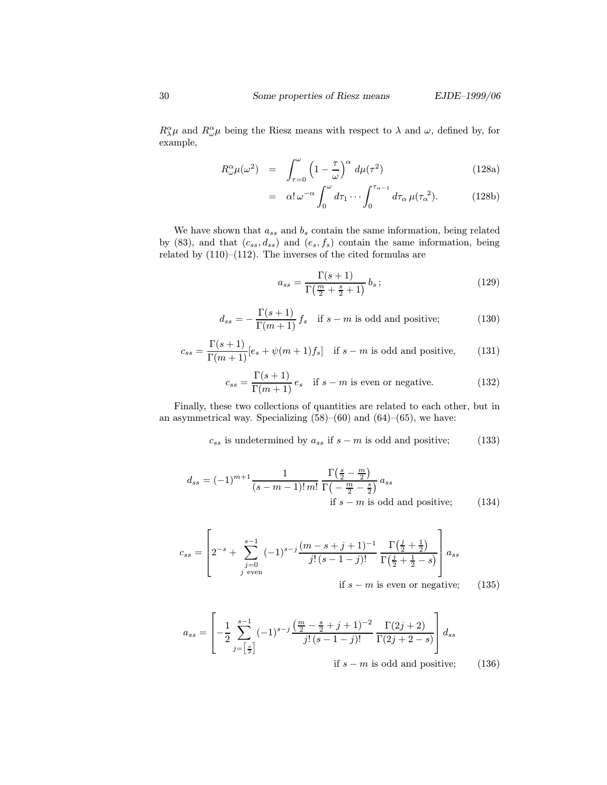$R^{\alpha}_{\lambda}\mu$  and  $R^{\alpha}_{\omega}\mu$  being the Riesz means with respect to  $\lambda$  and  $\omega$ , defined by, for example,

$$
R^{\alpha}_{\omega}\mu(\omega^2) = \int_{\tau=0}^{\omega} \left(1 - \frac{\tau}{\omega}\right)^{\alpha} d\mu(\tau^2)
$$
 (128a)

$$
= \alpha! \,\omega^{-\alpha} \int_0^{\omega} d\tau_1 \cdots \int_0^{\tau_{\alpha-1}} d\tau_\alpha \,\mu(\tau_\alpha^2). \tag{128b}
$$

We have shown that  $a_{ss}$  and  $b_s$  contain the same information, being related by (83), and that  $(c_{ss}, d_{ss})$  and  $(e_s, f_s)$  contain the same information, being related by (110)–(112). The inverses of the cited formulas are

$$
a_{ss} = \frac{\Gamma(s+1)}{\Gamma\left(\frac{m}{2} + \frac{s}{2} + 1\right)} b_s ; \tag{129}
$$

$$
d_{ss} = -\frac{\Gamma(s+1)}{\Gamma(m+1)} f_s \quad \text{if } s-m \text{ is odd and positive}; \tag{130}
$$

$$
c_{ss} = \frac{\Gamma(s+1)}{\Gamma(m+1)} [e_s + \psi(m+1)f_s] \quad \text{if } s-m \text{ is odd and positive}, \tag{131}
$$

$$
c_{ss} = \frac{\Gamma(s+1)}{\Gamma(m+1)} e_s \quad \text{if } s-m \text{ is even or negative.} \tag{132}
$$

Finally, these two collections of quantities are related to each other, but in an asymmetrical way. Specializing  $(58)–(60)$  and  $(64)–(65)$ , we have:

 $c_{ss}$  is undetermined by  $a_{ss}$  if  $s - m$  is odd and positive; (133)

$$
d_{ss} = (-1)^{m+1} \frac{1}{(s-m-1)! m!} \frac{\Gamma\left(\frac{s}{2} - \frac{m}{2}\right)}{\Gamma\left(-\frac{m}{2} - \frac{s}{2}\right)} a_{ss}
$$
  
if  $s - m$  is odd and positive; (134)

$$
c_{ss} = \left[ 2^{-s} + \sum_{\substack{j=0 \ j \text{ even}}}^{s-1} (-1)^{s-j} \frac{(m-s+j+1)^{-1}}{j!(s-1-j)!} \frac{\Gamma(\frac{j}{2} + \frac{1}{2})}{\Gamma(\frac{j}{2} + \frac{1}{2} - s)} \right] a_{ss}
$$
  
if s - m is even or negative: (1)

if 
$$
s - m
$$
 is even or negative; (135)

$$
a_{ss} = \left[ -\frac{1}{2} \sum_{j=\left[\frac{s}{2}\right]}^{s-1} (-1)^{s-j} \frac{\left(\frac{m}{2} - \frac{s}{2} + j + 1\right)^{-2}}{j!(s-1-j)!} \frac{\Gamma(2j+2)}{\Gamma(2j+2-s)} \right] d_{ss}
$$
  
if  $s-m$  is odd and positive; (136)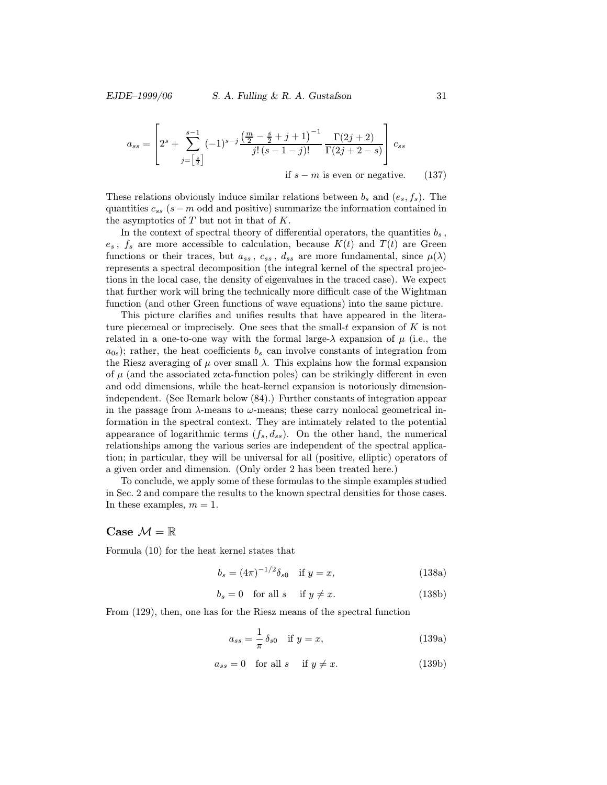$$
a_{ss} = \left[2^s + \sum_{j=\left[\frac{s}{2}\right]}^{s-1} (-1)^{s-j} \frac{\left(\frac{m}{2} - \frac{s}{2} + j + 1\right)^{-1}}{j!(s-1-j)!} \frac{\Gamma(2j+2)}{\Gamma(2j+2-s)}\right] c_{ss}
$$
  
if  $s-m$  is even or negative. (137)

These relations obviously induce similar relations between  $b_s$  and  $(e_s, f_s)$ . The quantities  $c_{ss}$  (s – m odd and positive) summarize the information contained in the asymptotics of  $T$  but not in that of  $K$ .

In the context of spectral theory of differential operators, the quantities  $b_s$ ,  $e_s$ ,  $f_s$  are more accessible to calculation, because  $K(t)$  and  $T(t)$  are Green functions or their traces, but  $a_{ss}$ ,  $c_{ss}$ ,  $d_{ss}$  are more fundamental, since  $\mu(\lambda)$ represents a spectral decomposition (the integral kernel of the spectral projections in the local case, the density of eigenvalues in the traced case). We expect that further work will bring the technically more difficult case of the Wightman function (and other Green functions of wave equations) into the same picture.

This picture clarifies and unifies results that have appeared in the literature piecemeal or imprecisely. One sees that the small- $t$  expansion of  $K$  is not related in a one-to-one way with the formal large- $\lambda$  expansion of  $\mu$  (i.e., the  $a_{0s}$ ; rather, the heat coefficients  $b_s$  can involve constants of integration from the Riesz averaging of  $\mu$  over small  $\lambda$ . This explains how the formal expansion of  $\mu$  (and the associated zeta-function poles) can be strikingly different in even and odd dimensions, while the heat-kernel expansion is notoriously dimensionindependent. (See Remark below (84).) Further constants of integration appear in the passage from  $\lambda$ -means to  $\omega$ -means; these carry nonlocal geometrical information in the spectral context. They are intimately related to the potential appearance of logarithmic terms  $(f_s, d_{ss})$ . On the other hand, the numerical relationships among the various series are independent of the spectral application; in particular, they will be universal for all (positive, elliptic) operators of a given order and dimension. (Only order 2 has been treated here.)

To conclude, we apply some of these formulas to the simple examples studied in Sec. 2 and compare the results to the known spectral densities for those cases. In these examples,  $m = 1$ .

#### Case  $\mathcal{M} = \mathbb{R}$

Formula (10) for the heat kernel states that

$$
b_s = (4\pi)^{-1/2} \delta_{s0} \quad \text{if } y = x,\tag{138a}
$$

$$
b_s = 0 \quad \text{for all } s \quad \text{ if } y \neq x. \tag{138b}
$$

From (129), then, one has for the Riesz means of the spectral function

$$
a_{ss} = \frac{1}{\pi} \delta_{s0} \quad \text{if } y = x,\tag{139a}
$$

$$
a_{ss} = 0 \quad \text{for all } s \quad \text{ if } y \neq x. \tag{139b}
$$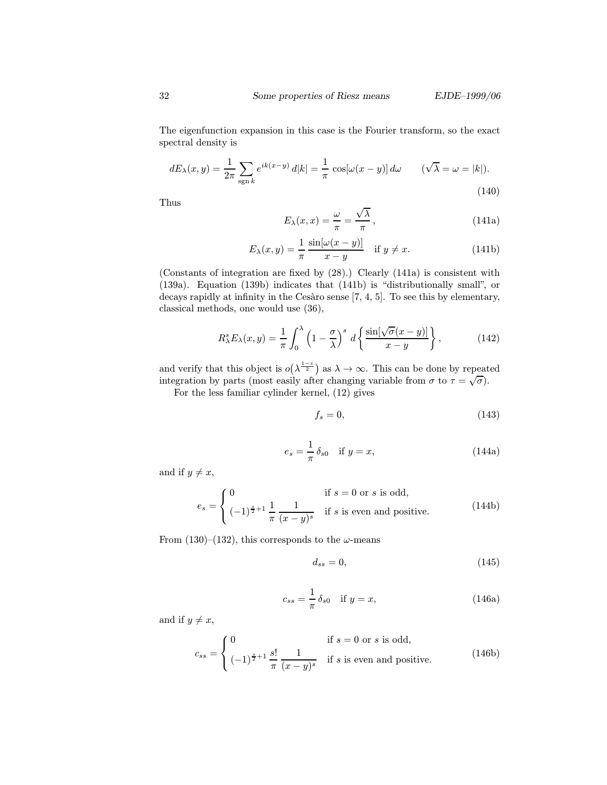The eigenfunction expansion in this case is the Fourier transform, so the exact spectral density is

$$
dE_{\lambda}(x,y) = \frac{1}{2\pi} \sum_{\text{sgn }k} e^{ik(x-y)} d|k| = \frac{1}{\pi} \cos[\omega(x-y)] d\omega \qquad (\sqrt{\lambda} = \omega = |k|). \tag{140}
$$

Thus

$$
E_{\lambda}(x,x) = \frac{\omega}{\pi} = \frac{\sqrt{\lambda}}{\pi},
$$
\n(141a)

$$
E_{\lambda}(x,y) = \frac{1}{\pi} \frac{\sin[\omega(x-y)]}{x-y} \quad \text{if } y \neq x. \tag{141b}
$$

(Constants of integration are fixed by (28).) Clearly (141a) is consistent with (139a). Equation (139b) indicates that (141b) is "distributionally small", or decays rapidly at infinity in the Cesàro sense  $[7, 4, 5]$ . To see this by elementary, classical methods, one would use (36),

$$
R_{\lambda}^{s}E_{\lambda}(x,y) = \frac{1}{\pi} \int_{0}^{\lambda} \left(1 - \frac{\sigma}{\lambda}\right)^{s} d\left\{\frac{\sin[\sqrt{\sigma}(x-y)]}{x-y}\right\},
$$
 (142)

and verify that this object is  $o(\lambda^{\frac{1-s}{2}})$  as  $\lambda \to \infty$ . This can be done by repeated integration by parts (most easily after changing variable from  $\sigma$  to  $\tau = \sqrt{\sigma}$ ).

For the less familiar cylinder kernel, (12) gives

$$
f_s = 0,\t(143)
$$

$$
e_s = \frac{1}{\pi} \delta_{s0} \quad \text{if } y = x,\tag{144a}
$$

and if  $y \neq x$ ,

$$
e_s = \begin{cases} 0 & \text{if } s = 0 \text{ or } s \text{ is odd,} \\ (-1)^{\frac{s}{2}+1} \frac{1}{\pi} \frac{1}{(x-y)^s} & \text{if } s \text{ is even and positive.} \end{cases}
$$
(144b)

From (130)–(132), this corresponds to the  $\omega$ -means

$$
d_{ss} = 0,\t\t(145)
$$

$$
c_{ss} = \frac{1}{\pi} \delta_{s0} \quad \text{if } y = x,
$$
\n
$$
(146a)
$$

and if  $y \neq x$ ,

$$
c_{ss} = \begin{cases} 0 & \text{if } s = 0 \text{ or } s \text{ is odd,} \\ (-1)^{\frac{s}{2}+1} \frac{s!}{\pi} \frac{1}{(x-y)^s} & \text{if } s \text{ is even and positive.} \end{cases}
$$
(146b)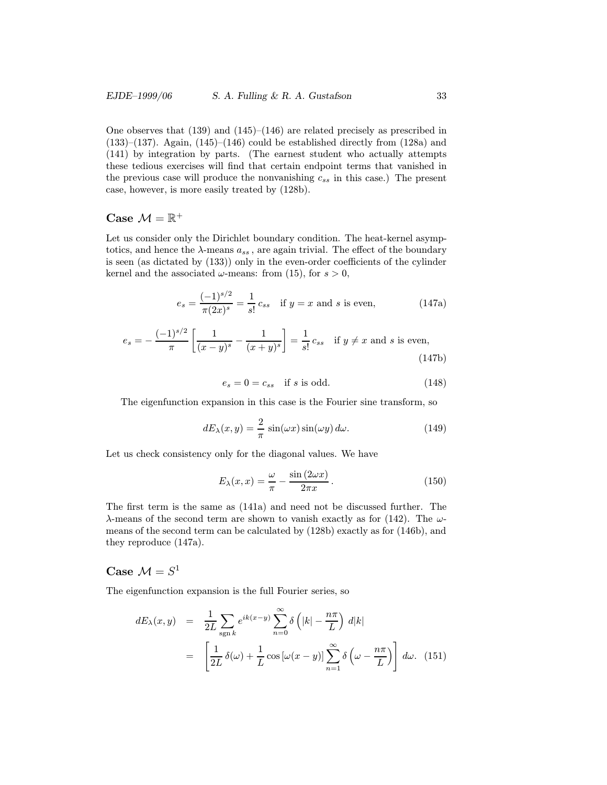One observes that (139) and (145)–(146) are related precisely as prescribed in  $(133)$ – $(137)$ . Again,  $(145)$ – $(146)$  could be established directly from  $(128a)$  and (141) by integration by parts. (The earnest student who actually attempts these tedious exercises will find that certain endpoint terms that vanished in the previous case will produce the nonvanishing  $c_{ss}$  in this case.) The present case, however, is more easily treated by (128b).

#### Case  $\mathcal{M} = \mathbb{R}^+$

Let us consider only the Dirichlet boundary condition. The heat-kernel asymptotics, and hence the  $\lambda$ -means  $a_{ss}$ , are again trivial. The effect of the boundary is seen (as dictated by (133)) only in the even-order coefficients of the cylinder kernel and the associated  $\omega$ -means: from (15), for  $s > 0$ ,

$$
e_s = \frac{(-1)^{s/2}}{\pi (2x)^s} = \frac{1}{s!} c_{ss} \quad \text{if } y = x \text{ and } s \text{ is even}, \tag{147a}
$$

$$
e_s = -\frac{(-1)^{s/2}}{\pi} \left[ \frac{1}{(x-y)^s} - \frac{1}{(x+y)^s} \right] = \frac{1}{s!} c_{ss} \quad \text{if } y \neq x \text{ and } s \text{ is even}, \tag{147b}
$$

$$
e_s = 0 = c_{ss} \quad \text{if } s \text{ is odd.} \tag{148}
$$

The eigenfunction expansion in this case is the Fourier sine transform, so

$$
dE_{\lambda}(x,y) = \frac{2}{\pi} \sin(\omega x) \sin(\omega y) d\omega.
$$
 (149)

Let us check consistency only for the diagonal values. We have

$$
E_{\lambda}(x,x) = \frac{\omega}{\pi} - \frac{\sin(2\omega x)}{2\pi x}.
$$
 (150)

The first term is the same as (141a) and need not be discussed further. The  $\lambda$ -means of the second term are shown to vanish exactly as for (142). The  $\omega$ means of the second term can be calculated by (128b) exactly as for (146b), and they reproduce (147a).

## Case  $\mathcal{M} = S^1$

The eigenfunction expansion is the full Fourier series, so

$$
dE_{\lambda}(x, y) = \frac{1}{2L} \sum_{\text{sgn }k} e^{ik(x-y)} \sum_{n=0}^{\infty} \delta\left(|k| - \frac{n\pi}{L}\right) d|k|
$$
  

$$
= \left[\frac{1}{2L} \delta(\omega) + \frac{1}{L} \cos\left[\omega(x-y)\right] \sum_{n=1}^{\infty} \delta\left(\omega - \frac{n\pi}{L}\right)\right] d\omega. \quad (151)
$$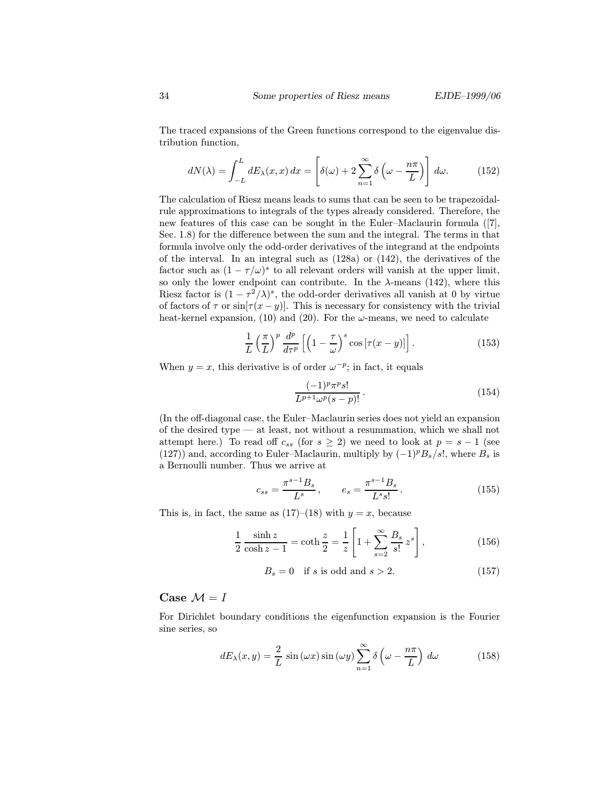The traced expansions of the Green functions correspond to the eigenvalue distribution function,

$$
dN(\lambda) = \int_{-L}^{L} dE_{\lambda}(x, x) dx = \left[ \delta(\omega) + 2 \sum_{n=1}^{\infty} \delta\left(\omega - \frac{n\pi}{L}\right) \right] d\omega.
$$
 (152)

The calculation of Riesz means leads to sums that can be seen to be trapezoidalrule approximations to integrals of the types already considered. Therefore, the new features of this case can be sought in the Euler–Maclaurin formula ([7], Sec. 1.8) for the difference between the sum and the integral. The terms in that formula involve only the odd-order derivatives of the integrand at the endpoints of the interval. In an integral such as  $(128a)$  or  $(142)$ , the derivatives of the factor such as  $(1 - \tau/\omega)^s$  to all relevant orders will vanish at the upper limit, so only the lower endpoint can contribute. In the  $\lambda$ -means (142), where this Riesz factor is  $(1 - \tau^2/\lambda)^s$ , the odd-order derivatives all vanish at 0 by virtue of factors of  $\tau$  or  $\sin[\tau(x-y)]$ . This is necessary for consistency with the trivial heat-kernel expansion, (10) and (20). For the  $\omega$ -means, we need to calculate

$$
\frac{1}{L} \left(\frac{\pi}{L}\right)^p \frac{d^p}{d\tau^p} \left[ \left(1 - \frac{\tau}{\omega}\right)^s \cos\left[\tau(x - y)\right] \right]. \tag{153}
$$

When  $y = x$ , this derivative is of order  $\omega^{-p}$ ; in fact, it equals

$$
\frac{(-1)^p \pi^p s!}{L^{p+1} \omega^p (s-p)!}.
$$
\n(154)

(In the off-diagonal case, the Euler–Maclaurin series does not yield an expansion of the desired type — at least, not without a resummation, which we shall not attempt here.) To read off  $c_{ss}$  (for  $s \geq 2$ ) we need to look at  $p = s - 1$  (see (127)) and, according to Euler–Maclaurin, multiply by  $(-1)^p B_s/s!$ , where  $B_s$  is a Bernoulli number. Thus we arrive at

$$
c_{ss} = \frac{\pi^{s-1} B_s}{L^s}, \qquad e_s = \frac{\pi^{s-1} B_s}{L^s s!}.
$$
 (155)

This is, in fact, the same as  $(17)$ – $(18)$  with  $y = x$ , because

$$
\frac{1}{2} \frac{\sinh z}{\cosh z - 1} = \coth \frac{z}{2} = \frac{1}{z} \left[ 1 + \sum_{s=2}^{\infty} \frac{B_s}{s!} z^s \right],
$$
\n(156)

$$
B_s = 0 \quad \text{if } s \text{ is odd and } s > 2. \tag{157}
$$

#### Case  $\mathcal{M} = I$

For Dirichlet boundary conditions the eigenfunction expansion is the Fourier sine series, so

$$
dE_{\lambda}(x,y) = \frac{2}{L} \sin(\omega x) \sin(\omega y) \sum_{n=1}^{\infty} \delta\left(\omega - \frac{n\pi}{L}\right) d\omega \tag{158}
$$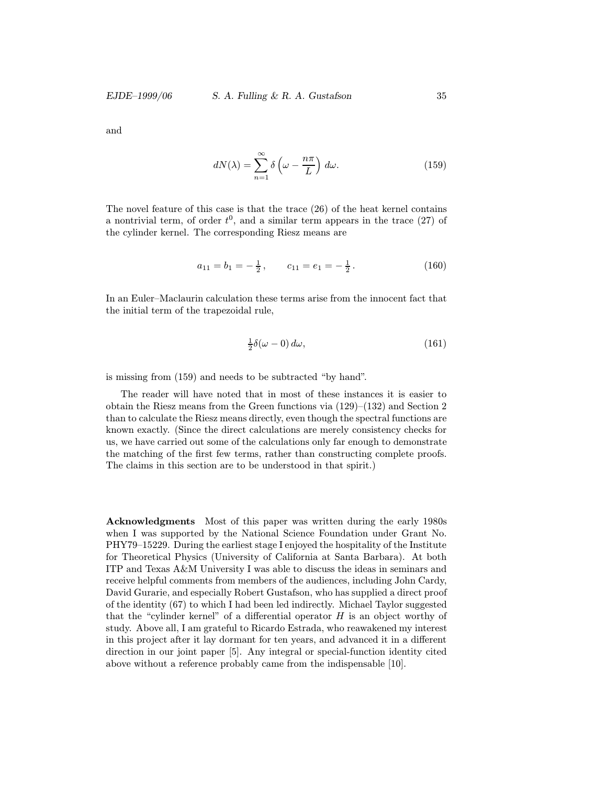and

$$
dN(\lambda) = \sum_{n=1}^{\infty} \delta\left(\omega - \frac{n\pi}{L}\right) d\omega.
$$
 (159)

The novel feature of this case is that the trace (26) of the heat kernel contains a nontrivial term, of order  $t^0$ , and a similar term appears in the trace  $(27)$  of the cylinder kernel. The corresponding Riesz means are

$$
a_{11} = b_1 = -\frac{1}{2}, \qquad c_{11} = e_1 = -\frac{1}{2}.
$$
 (160)

In an Euler–Maclaurin calculation these terms arise from the innocent fact that the initial term of the trapezoidal rule,

$$
\frac{1}{2}\delta(\omega - 0) d\omega, \tag{161}
$$

is missing from (159) and needs to be subtracted "by hand".

The reader will have noted that in most of these instances it is easier to obtain the Riesz means from the Green functions via (129)–(132) and Section 2 than to calculate the Riesz means directly, even though the spectral functions are known exactly. (Since the direct calculations are merely consistency checks for us, we have carried out some of the calculations only far enough to demonstrate the matching of the first few terms, rather than constructing complete proofs. The claims in this section are to be understood in that spirit.)

Acknowledgments Most of this paper was written during the early 1980s when I was supported by the National Science Foundation under Grant No. PHY79–15229. During the earliest stage I enjoyed the hospitality of the Institute for Theoretical Physics (University of California at Santa Barbara). At both ITP and Texas A&M University I was able to discuss the ideas in seminars and receive helpful comments from members of the audiences, including John Cardy, David Gurarie, and especially Robert Gustafson, who has supplied a direct proof of the identity (67) to which I had been led indirectly. Michael Taylor suggested that the "cylinder kernel" of a differential operator  $H$  is an object worthy of study. Above all, I am grateful to Ricardo Estrada, who reawakened my interest in this project after it lay dormant for ten years, and advanced it in a different direction in our joint paper [5]. Any integral or special-function identity cited above without a reference probably came from the indispensable [10].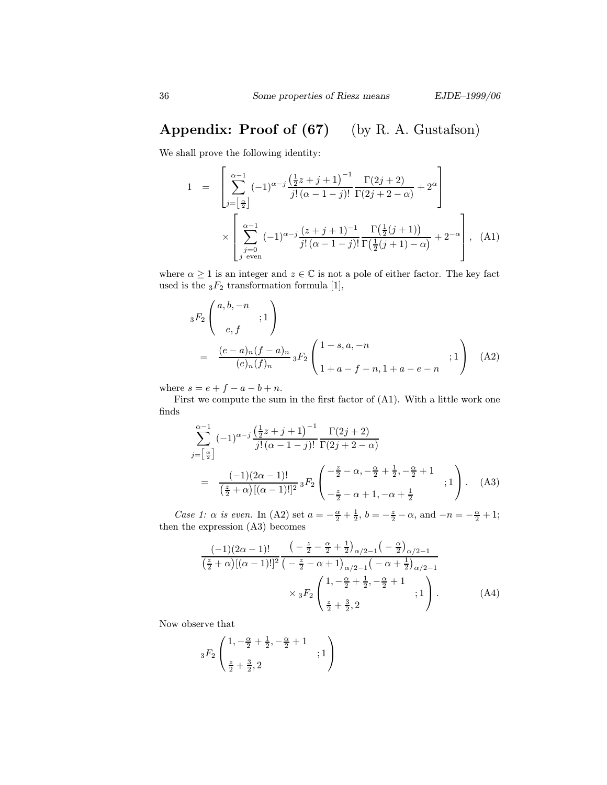# Appendix: Proof of (67) (by R. A. Gustafson)

We shall prove the following identity:

$$
1 = \left[ \sum_{j=\left[\frac{\alpha}{2}\right]}^{\infty-1} (-1)^{\alpha-j} \frac{\left(\frac{1}{2}z+j+1\right)^{-1}}{j!\left(\alpha-1-j\right)!} \frac{\Gamma(2j+2)}{\Gamma(2j+2-\alpha)} + 2^{\alpha} \right] \times \left[ \sum_{\substack{j=0 \ j \text{ even}}}^{\alpha-1} (-1)^{\alpha-j} \frac{(z+j+1)^{-1}}{j!\left(\alpha-1-j\right)!} \frac{\Gamma\left(\frac{1}{2}(j+1)\right)}{\Gamma\left(\frac{1}{2}(j+1)-\alpha\right)} + 2^{-\alpha} \right], \quad (A1)
$$

where  $\alpha \geq 1$  is an integer and  $z \in \mathbb{C}$  is not a pole of either factor. The key fact used is the  $_3F_2$  transformation formula [1],

$$
{}_{3}F_{2}\begin{pmatrix} a,b,-n \\ e,f \end{pmatrix}
$$
  
= 
$$
\frac{(e-a)_{n}(f-a)_{n}}{(e)_{n}(f)_{n}} {}_{3}F_{2}\begin{pmatrix} 1-s,a,-n \\ 1+a-f-n,1+a-e-n \end{pmatrix}
$$
 (A2)

where  $s = e + f - a - b + n$ .

First we compute the sum in the first factor of (A1). With a little work one finds

$$
\sum_{j=\left[\frac{\alpha}{2}\right]}^{\alpha-1} (-1)^{\alpha-j} \frac{\left(\frac{1}{2}z+j+1\right)^{-1}}{j!\left(\alpha-1-j\right)!} \frac{\Gamma(2j+2)}{\Gamma(2j+2-\alpha)}
$$
\n
$$
= \frac{(-1)(2\alpha-1)!}{\left(\frac{z}{2}+\alpha\right)[(\alpha-1)!]^2} {}_3F_2\left(\begin{array}{c} -\frac{z}{2}-\alpha, -\frac{\alpha}{2}+\frac{1}{2}, -\frac{\alpha}{2}+1\\ -\frac{z}{2}-\alpha+1, -\alpha+\frac{1}{2} \end{array}; 1\right). \quad (A3)
$$

Case 1:  $\alpha$  is even. In (A2) set  $a = -\frac{\alpha}{2} + \frac{1}{2}$ ,  $b = -\frac{z}{2} - \alpha$ , and  $-n = -\frac{\alpha}{2} + 1$ ; then the expression (A3) becomes

$$
\frac{(-1)(2\alpha-1)!}{(\frac{z}{2}+\alpha)[(\alpha-1)!]^2} \frac{\left(-\frac{z}{2}-\frac{\alpha}{2}+\frac{1}{2}\right)_{\alpha/2-1}\left(-\frac{\alpha}{2}\right)_{\alpha/2-1}}{\left(-\frac{z}{2}-\alpha+1\right)_{\alpha/2-1}\left(-\alpha+\frac{1}{2}\right)_{\alpha/2-1}} \times {}_3F_2 \left(\frac{1,-\frac{\alpha}{2}+\frac{1}{2},-\frac{\alpha}{2}+1}{\frac{z}{2}+\frac{3}{2},2};1\right).
$$
 (A4)

Now observe that

$$
{}_{3}F_{2}\left( \frac{1,-\frac{\alpha}{2}+\frac{1}{2},-\frac{\alpha}{2}+1}{\frac{z}{2}+\frac{3}{2},2}\right) \nonumber\\ ;1\left)
$$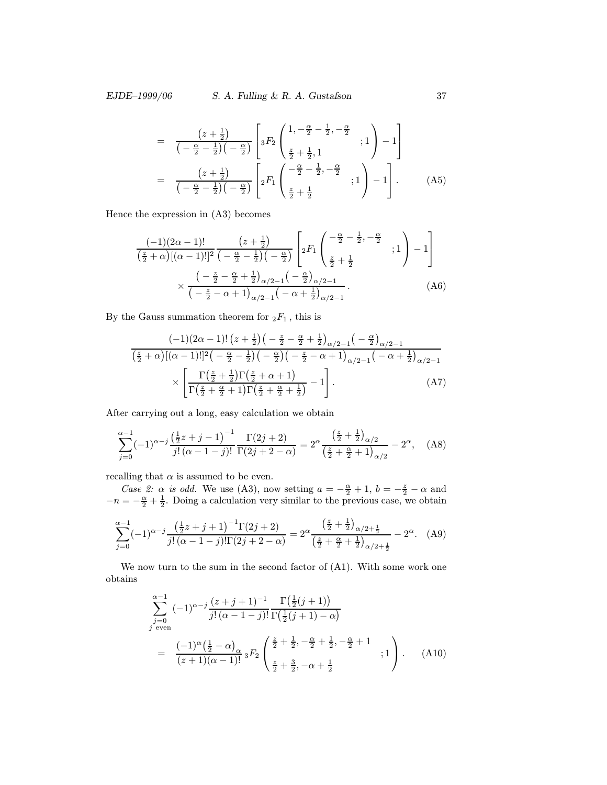$$
= \frac{\left(z+\frac{1}{2}\right)}{\left(-\frac{\alpha}{2}-\frac{1}{2}\right)\left(-\frac{\alpha}{2}\right)} \left[ {}_3F_2 \left( \begin{array}{cc} 1, -\frac{\alpha}{2}-\frac{1}{2}, -\frac{\alpha}{2} \\ \frac{z}{2}+\frac{1}{2}, 1 \end{array} ; 1 \right) - 1 \right]
$$

$$
= \frac{\left(z+\frac{1}{2}\right)}{\left(-\frac{\alpha}{2}-\frac{1}{2}\right)\left(-\frac{\alpha}{2}\right)} \left[ {}_2F_1 \left( \begin{array}{cc} -\frac{\alpha}{2}-\frac{1}{2}, -\frac{\alpha}{2} \\ \frac{z}{2}+\frac{1}{2} \end{array} ; 1 \right) - 1 \right]. \tag{A5}
$$

Hence the expression in (A3) becomes

$$
\frac{(-1)(2\alpha - 1)!}{(\frac{z}{2} + \alpha)[(\alpha - 1)!]^2} \frac{(z + \frac{1}{2})}{(-\frac{\alpha}{2} - \frac{1}{2})(-\frac{\alpha}{2})} \left[ {}_2F_1\left(\frac{-\frac{\alpha}{2} - \frac{1}{2}, -\frac{\alpha}{2}}{\frac{z}{2} + \frac{1}{2}}, 1\right) - 1\right] \times \frac{(-\frac{z}{2} - \frac{\alpha}{2} + \frac{1}{2})_{\alpha/2 - 1}(-\frac{\alpha}{2})_{\alpha/2 - 1}}{(-\frac{z}{2} - \alpha + 1)_{\alpha/2 - 1}(-\alpha + \frac{1}{2})_{\alpha/2 - 1}}.
$$
\n(A6)

By the Gauss summation theorem for  $\displaystyle _2F_1$  , this is

$$
\frac{(-1)(2\alpha-1)!\left(z+\frac{1}{2}\right)\left(-\frac{z}{2}-\frac{\alpha}{2}+\frac{1}{2}\right)_{\alpha/2-1}\left(-\frac{\alpha}{2}\right)_{\alpha/2-1}}{\left(\frac{z}{2}+\alpha\right)[(\alpha-1)!]^2\left(-\frac{\alpha}{2}-\frac{1}{2}\right)\left(-\frac{\alpha}{2}\right)\left(-\frac{z}{2}-\alpha+1\right)_{\alpha/2-1}\left(-\alpha+\frac{1}{2}\right)_{\alpha/2-1}}\times\left[\frac{\Gamma\left(\frac{z}{2}+\frac{1}{2}\right)\Gamma\left(\frac{z}{2}+\alpha+1\right)}{\Gamma\left(\frac{z}{2}+\frac{\alpha}{2}+1\right)\Gamma\left(\frac{z}{2}+\frac{\alpha}{2}+\frac{1}{2}\right)}-1\right].\tag{A7}
$$

After carrying out a long, easy calculation we obtain

$$
\sum_{j=0}^{\alpha-1} (-1)^{\alpha-j} \frac{\left(\frac{1}{2}z+j-1\right)^{-1}}{j!\left(\alpha-1-j\right)!} \frac{\Gamma(2j+2)}{\Gamma(2j+2-\alpha)} = 2^{\alpha} \frac{\left(\frac{z}{2}+\frac{1}{2}\right)_{\alpha/2}}{\left(\frac{z}{2}+\frac{\alpha}{2}+1\right)_{\alpha/2}} - 2^{\alpha}, \quad \text{(A8)}
$$

recalling that  $\alpha$  is assumed to be even.

Case 2:  $\alpha$  is odd. We use (A3), now setting  $a = -\frac{\alpha}{2} + 1$ ,  $b = -\frac{z}{2} - \alpha$  and  $-n = -\frac{\alpha}{2} + \frac{1}{2}$ . Doing a calculation very similar to the previous case, we obtain

$$
\sum_{j=0}^{\alpha-1} (-1)^{\alpha-j} \frac{\left(\frac{1}{2}z+j+1\right)^{-1} \Gamma(2j+2)}{j! \left(\alpha-1-j\right)! \Gamma(2j+2-\alpha)} = 2^{\alpha} \frac{\left(\frac{z}{2}+\frac{1}{2}\right)_{\alpha/2+\frac{1}{2}}}{\left(\frac{z}{2}+\frac{\alpha}{2}+\frac{1}{2}\right)_{\alpha/2+\frac{1}{2}}} - 2^{\alpha}.\tag{A9}
$$

We now turn to the sum in the second factor of (A1). With some work one obtains

$$
\sum_{\substack{j=0 \ j \text{ even}}}^{\alpha-1} (-1)^{\alpha-j} \frac{(z+j+1)^{-1}}{j!(\alpha-1-j)!} \frac{\Gamma(\frac{1}{2}(j+1))}{\Gamma(\frac{1}{2}(j+1)-\alpha)}
$$
\n
$$
= \frac{(-1)^{\alpha}(\frac{1}{2}-\alpha)_{\alpha}}{(z+1)(\alpha-1)!} {}_3F_2 \left( \frac{\frac{z}{2}+\frac{1}{2}, -\frac{\alpha}{2}+\frac{1}{2}, -\frac{\alpha}{2}+1}{\frac{z}{2}+\frac{3}{2}, -\alpha+\frac{1}{2}} ; 1 \right). \quad \text{(A10)}
$$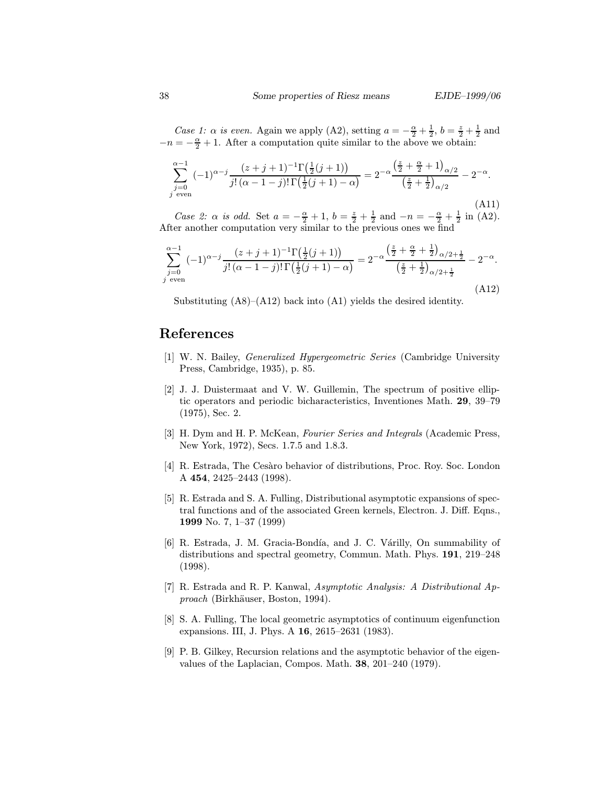Case 1:  $\alpha$  is even. Again we apply (A2), setting  $a = -\frac{\alpha}{2} + \frac{1}{2}$ ,  $b = \frac{z}{2} + \frac{1}{2}$  and  $-n = -\frac{\alpha}{2} + 1$ . After a computation quite similar to the above we obtain:

$$
\sum_{\substack{j=0 \ j \text{ even}}}^{\alpha-1} (-1)^{\alpha-j} \frac{(z+j+1)^{-1} \Gamma(\frac{1}{2}(j+1))}{j! \left(\alpha-1-j\right)! \Gamma(\frac{1}{2}(j+1)-\alpha)} = 2^{-\alpha} \frac{\left(\frac{z}{2}+\frac{\alpha}{2}+1\right)_{\alpha/2}}{\left(\frac{z}{2}+\frac{1}{2}\right)_{\alpha/2}} - 2^{-\alpha}.
$$
\n(A11)

*Case 2:*  $\alpha$  *is odd.* Set  $a = -\frac{\alpha}{2} + 1$ ,  $b = \frac{z}{2} + \frac{1}{2}$  and  $-n = -\frac{\alpha}{2} + \frac{1}{2}$  in (A2). After another computation very similar to the previous ones we find

$$
\sum_{\substack{j=0 \ j \text{ even}}}^{\alpha-1} (-1)^{\alpha-j} \frac{(z+j+1)^{-1} \Gamma(\frac{1}{2}(j+1))}{j! \left(\alpha-1-j\right)! \Gamma(\frac{1}{2}(j+1)-\alpha)} = 2^{-\alpha} \frac{\left(\frac{z}{2}+\frac{\alpha}{2}+\frac{1}{2}\right)_{\alpha/2+\frac{1}{2}}}{\left(\frac{z}{2}+\frac{1}{2}\right)_{\alpha/2+\frac{1}{2}}} - 2^{-\alpha}.
$$
\n(A12)

Substituting  $(A8)$ – $(A12)$  back into  $(A1)$  yields the desired identity.

### References

- [1] W. N. Bailey, Generalized Hypergeometric Series (Cambridge University Press, Cambridge, 1935), p. 85.
- [2] J. J. Duistermaat and V. W. Guillemin, The spectrum of positive elliptic operators and periodic bicharacteristics, Inventiones Math. 29, 39–79 (1975), Sec. 2.
- [3] H. Dym and H. P. McKean, Fourier Series and Integrals (Academic Press, New York, 1972), Secs. 1.7.5 and 1.8.3.
- [4] R. Estrada, The Cesàro behavior of distributions, Proc. Roy. Soc. London A 454, 2425–2443 (1998).
- [5] R. Estrada and S. A. Fulling, Distributional asymptotic expansions of spectral functions and of the associated Green kernels, Electron. J. Diff. Eqns., 1999 No. 7, 1–37 (1999)
- [6] R. Estrada, J. M. Gracia-Bondía, and J. C. Várilly, On summability of distributions and spectral geometry, Commun. Math. Phys. 191, 219–248 (1998).
- [7] R. Estrada and R. P. Kanwal, Asymptotic Analysis: A Distributional Approach (Birkhäuser, Boston, 1994).
- [8] S. A. Fulling, The local geometric asymptotics of continuum eigenfunction expansions. III, J. Phys. A 16, 2615–2631 (1983).
- [9] P. B. Gilkey, Recursion relations and the asymptotic behavior of the eigenvalues of the Laplacian, Compos. Math. 38, 201–240 (1979).